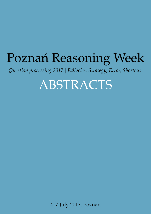<span id="page-0-0"></span>*Question processing 2017* | *Fallacies: Strategy, Error, Shortcut*

ABSTRACTS

4–7 July 2017, Poznań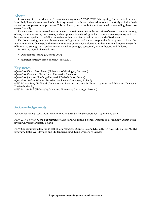#### About

Consisting of two workshops, Poznań Reasoning Week 2017 (PRW2017) brings together experts from various disciplines whose research offers both systematic and historical contributions to the study of individualas well as group-reasoning processes. This particularly includes, but is not restricted to, modelling these processes formally.

Recent years have witnessed a cognitive turn in logic, resulting in the inclusion of research areas in, among others, cognitive science, psychology, and computer science into logic's hard core. As a consequence, logic has become more capable of modelling actual cognitive activities of real rather than idealized agents.

Far from creating rivalry with mathematical logic, this marks a next step in the development of logic. But it also reminds us that logic had for many centuries entertained a close and rather natural relation to the study of human reasoning and, insofar as externalized reasoning is concerned, also to rhetoric and dialectic.

In 2017 we would like to address:

- Question processing (QuestPro 2017).
- Fallacies: Strategy, Error, Shortcut (SES 2017).

#### Key-notes

(QuestPro) *Edgar Onea Gáspár* (University of Göttingen, Germany) (QuestPro) *Emmanuel Genot* (Lund University, Sweden) (QuestPro) *Jonathan Ginzburg* (Université Paris-Diderot, France) (QuestPro) *Andrzej Wi´sniewski* (Adam Mickiewicz University, Poland) (SES) *Iris van Rooij* (Radboud University and Donders Institute for Brain, Cognition and Behavior, Nijmegen, The Netherlands) (SES) *Patricia Rich* (Philosophy, Hamburg University, Germany) in Poznań)

#### Acknowledgements

Poznań Reasoning Week Multi-conference is *endorsed by*: [Polish Society for Cognitive Science](http://ptkogni.amu.edu.pl/english/)

PRW 2017 is *hosted by* the [Department of Logic and Cognitive Science,](http://kognitywistyka.amu.edu.pl/en/) [Institute of Psychology,](http://www.psychologia.amu.edu.pl/en/home/) [Adam Mick](http://international.amu.edu.pl/)[iewicz University,](http://international.amu.edu.pl/) Poznań, Poland.

PRW 2017 is supported by funds of the National Science Centre, Poland DEC-2012/04/A/HS1/00715; SASPRO program, Bratislava, Slovakia and Hultengrens fund, Lund University, Sweden.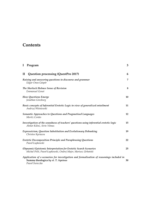### **Contents**

| I            | Program                                                                                                                                          | 3  |
|--------------|--------------------------------------------------------------------------------------------------------------------------------------------------|----|
| $\mathbf{I}$ | Question processing (QuestPro 2017)                                                                                                              | 6  |
|              | Raising and answering questions in discourse and grammar<br>Edgar Onea Gáspár                                                                    | 7  |
|              | The Sherlock Holmes Sense of Revision<br>Emmanuel Genot                                                                                          | 8  |
|              | <b>How Questions Emerge</b><br>Jonathan Ginzburg                                                                                                 | 10 |
|              | Basic concepts of Inferential Erotetic Logic in view of generalized entailment<br>Andrzej Wiśniewski                                             | 11 |
|              | Semantic Approaches to Questions and Pragmatised Languages<br>Moritz Cordes                                                                      | 12 |
|              | Investigation of the soundness of teachers' questions using inferential erotetic logic<br>Ahmet Kilinc, Sirin Yilmaz                             | 15 |
|              | Expressivism, Question Substitution and Evolutionary Debunking<br>Christos Kyriacou                                                              | 19 |
|              | <b>Erotetic Decomposition Principle and Paraphrasing Questions</b><br>Paweł Łupkowski                                                            | 22 |
|              | (Dynamic) Epistemic Interpretation for Erotetic Search Scenarios<br>Michal Peliš, Paweł Łupkowski, Ondrej Majer, Mariusz Urbański                | 25 |
|              | Application of e-scenarios for investigation and formalisation of reasonings included in<br>Summa theologica by st. T. Aquinas<br>Paweł Świeczka | 30 |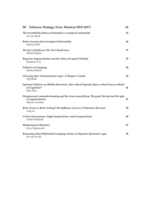| Fallacies: Strategy, Error, Shortcut (SES 2017)<br>III                                                                          | 34 |
|---------------------------------------------------------------------------------------------------------------------------------|----|
| The tractability fallacy of bounded or ecological rationality<br>Iris van Rooij                                                 | 35 |
| <b>Better Lessons from Ecological Rationality</b><br>Patricia Rich                                                              | 36 |
| The fate of fallacies: The Port-Royal turn<br>Michel Dufour                                                                     | 37 |
| Bayesian Argumentation and the Value of Logical Validity<br>Benjamin Eva                                                        | 39 |
| <b>Fallacies of Language</b><br>Martin Hinton                                                                                   | 40 |
| Choosing Your Nonmonotonic Logic: A Shopper's Guide<br><b>Ulf Hlobil</b>                                                        | 43 |
| Informal Fallacies as Hidden Heuristics: How Much Depends Upon a Dual-Process Model<br>of Cognition?<br>John Huss               | 46 |
| Disagreement, misunderstanding and the straw man fallacy: The good, the bad and the ugly<br>in argumentation<br>Marcin Lewiński | 47 |
| Risk-Averse or Risk-Seeking? The Influence of Loss in Preference Reversal<br>Yong Lu                                            | 50 |
| Critical discussions, Ought-propositions, and Is-propositions<br>Tomáš Ondráček                                                 | 54 |
| <b>Mathematical Mistakes</b><br>Jerzy Pogonowski                                                                                | 57 |
| Reasoning about Referential Language Games in Dynamic Epistemic Logic<br>Iris van de Pol                                        | 58 |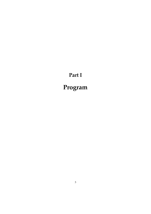# **Part I**

# <span id="page-4-0"></span>**Program**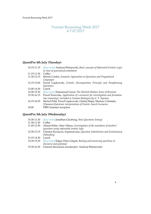#### Poznań Reasoning Week 2017 4-7.07.2017

### **QuestPro 4th July (Tuesday)**

| 10.15-11.15 | [Key-note] Andrzej Wiśniewski, Basic concepts of Inferential Erotetic Logic |  |  |  |  |
|-------------|-----------------------------------------------------------------------------|--|--|--|--|
|             | in view of generalized entailment                                           |  |  |  |  |
| 11.15-11.30 | Coffee                                                                      |  |  |  |  |
| 11.30-12.15 | Moritz Cordes, Semantic Approaches to Questions and Pragmatised             |  |  |  |  |
|             | Languages                                                                   |  |  |  |  |
| 12.15-13.00 | Paweł Łupkowski, Erotetic Decomposition Principle and Paraphrasing          |  |  |  |  |
|             | <i><u><b>Ouestions</b></u></i>                                              |  |  |  |  |
| 13.00-14.30 | Lunch                                                                       |  |  |  |  |
| 14.30-15.30 | [Key-note] Emmanuel Genot, The Sherlock Holmes Sense of Revision            |  |  |  |  |
| 15.30-16.15 | Pawel Świeczka, Application of e-scenarios for investigation and formalisa- |  |  |  |  |
|             | tion reasoning's included in Summa theologica by st. T. Aquinas             |  |  |  |  |
| 16.15-16.55 | Michal Peliš, Paweł Łupkowski, Ondrej Majer, Mariusz Urbański,              |  |  |  |  |
|             | (Dynamic) Epistemic interpretation of Erotetic Search Scenarios             |  |  |  |  |
| 18.00       | PRW kickstart reception                                                     |  |  |  |  |

### **QuestPro 5th July (Wednesday)**

| 10.30-11.30 | [Key-note] Jonathan Ginzburg, How Questions Emerge                      |
|-------------|-------------------------------------------------------------------------|
| 11.30-11.45 | Coffee                                                                  |
| 11.45-12.30 | Ahmet Kilinc, Sirin Yilmaz, Investigation of the soundness of teachers' |
|             | questions using inferential erotetic logic                              |
| 12.30-13.15 | Christos Kyriacou, Expressivism, Question Substitution and Evolutionary |
|             | Debunking                                                               |
| 13.15-14.30 | Lunch                                                                   |
| 14.30-15.30 | [Key-note] Edgar Onea Gáspár, Raising and answering questions in        |
|             | discourse and grammar                                                   |
| 15.30-16.30 | General discussion (moderator: Andrzej Wiśniewski)                      |
|             |                                                                         |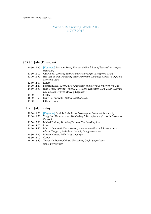#### Poznań Reasoning Week 2017 4-7.07.2017

### **SES 6th July (Thursday)**

| rationality<br>Ulf Hlobil, Choosing Your Nonmonotonic Logic: A Shopper's Guide<br>Iris van de Pol, Reasoning about Referential Language Games in Dynamic<br>Epistemic Logic |
|-----------------------------------------------------------------------------------------------------------------------------------------------------------------------------|
|                                                                                                                                                                             |
|                                                                                                                                                                             |
|                                                                                                                                                                             |
|                                                                                                                                                                             |
|                                                                                                                                                                             |
| Benjamin Eva, Bayesian Argumentation and the Value of Logical Validity                                                                                                      |
| John Huss, Informal Fallacies as Hidden Heuristics: How Much Depends                                                                                                        |
| Upon a Dual-Process Model of Cognition?                                                                                                                                     |
|                                                                                                                                                                             |
| Jerzy Pogonowski, Mathematical Mistakes                                                                                                                                     |
| Official dinner                                                                                                                                                             |
|                                                                                                                                                                             |

### **SES 7th July (Friday)**

| 10.00-11.00 | [Key-note] Patricia Rich, Better Lessons from Ecological Rationality      |
|-------------|---------------------------------------------------------------------------|
| 11.10-11.50 | Yong Lu, Risk-Averse or Risk-Seeking? The Influence of Loss in Preference |
|             | Reversal                                                                  |
| 11.50-12.30 | Michel Dufour, The fate of fallacies: The Port-Royal turn                 |
| 12.40-14.00 | Lunch                                                                     |
| 14.00-14.40 | Marcin Lewiński, Disagreement, misunderstanding and the straw man         |
|             | fallacy: The good, the bad and the ugly in argumentation                  |
| 14.50-15.30 | Martin Hinton, Fallacies of Language                                      |
| 15.30-16.10 | Coffee                                                                    |
| 16.10-16.50 | Tomáš Ondráček, Critical discussions, Ought-propositions,                 |
|             |                                                                           |
|             | and Is-propositions                                                       |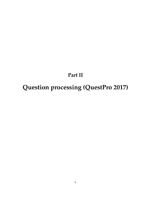# **Part II**

# <span id="page-7-0"></span>**Question processing (QuestPro 2017)**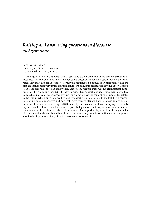### <span id="page-8-0"></span>*Raising and answering questions in discourse and grammar*

Edgar Onea Gáspár *University of Göttingen, Germany* [edgar.onea@zentr.uni-goettingen.de](mailto:edgar.onea@zentr.uni-goettingen.de)

As argued in van Kuppevelt (1995), assertions play a dual role in the erotetic structure of discourse. On the one hand, they answer some question under discussion, but on the other hand, they may also act as "feeders" for novel questions to be discussed in discourse. While the first aspect has been very much discussed in recent linguistic literature following up on Roberts (1996), the second aspect has gone widely unnoticed, because there was no grammatical implication of the claim. In Onea (2016) I have argued that natural language grammar is sensitive to this dual nature of assertions, showing for example how the semantics of indefinites relates to the way in which questions are licensed by assertions in discourse. In the talk I will concentrate on nominal appositives and non-restrictive relative clauses. I will propose an analysis of these constructions as answering a QUD raised by the host matrix clause. In trying to formally capture this, I will introduce the notion of potential questions and propose a certain number of constraints on the erotetic structure of discourse. One important topic will be the asymmetry of speaker and addressee based handling of the common ground information and assumptions about salient questions at any time in discourse development.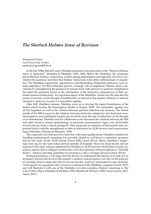### <span id="page-9-0"></span>*The Sherlock Holmes Sense of Revision*

Emmanuel Genot *Lund University, Sweden* [emmanuel.genot@fil.lu.se](mailto:emmanuel.genot@fil.lu.se)

In the late 1980s, Merill B. and J. Hintikka proposed a reconstruction of the "Sherlock Holmes sense of deduction" (Hintikka & HIntikka, 1983, 1989). Before the Hintikkas, the consensus about Sherlock Holmes' deductions, at least among philosophers and logicians who have considered the questions, had been that Holmes' deductions were either enthymematic or ampliative. The Hintikkas argued that, appearances notwithstanding, Holmesian inferences were indeed ampliative, but that deduction played a strategic role in ampliation: Holmes draws conclusions by strengthening the premises he reasons from with answers to questions (ampliation) but select the questions based on the anticipation of the deductive consequences of their potential answers (deduction). An important aspect of the Hintikkas' model was the idea that the source of answers can be thought of indifferently as external to the inquirer (Nature) or internal (Inquirer's memory), as part of a naturalistic agenda.

After M.B. Hintikka's demise, Hintikka went on to develop the logical foundations of the model which became the Interrogative Model of Inquiry (IMI). The naturalistic agenda was all but forgotten, as well as the relation between question-selection and memory. The formal results of the IMI focused on the relations between deduction simpliciter and deduction-cuminterrogation, and established in particular in which sense the role of deduction can be thought of as instrumental. Hintikka and his collaborators also discussed the relations between the IMI and other trends in formal epistemology, in particular nonmonotonic logics, and AGM belief revision theory, from a critical standpoint. They proposed an extension of their model and conjectured that it could be strengthened to offer an alternative to AGM revision and nomonotonic logics (Hintikka, Halonen & Mutanen, 1999).

The conjecture was later proved correct but with some qualifications: Hintikka's method for handling nonmonotonic reasoning was provably related to well-known contraction operators that do not verify all the AGM axioms (Genot 2009, Genot 2011a). Hence, Hintikka's misgivings were also by the same token proved partially ill-founded. However, these results did not respond to the main criticism addressed by Hintikka to AGM and non-AGM belief revision operators, namely that it collapses revision into a one-shot operation that presupposes a "fall-back theory", whereas selecting candidates for revision is a also a strategic process (Genot, 2011b).

In this presentation, I will argue that the the key to understand this process is to look at it as an inquiry process that involves the inquirer's memory and perception, not only for the purpose of choosing what to retain and what to cut out, but also what new information to take on board. I will support my argument with a recent re-evaluation of the Hintikkas' program (Genot, 2017) and will illustrate it with one of the Hintikka's favorite examples, Holmes' reasoning in The Case of Silver Blaze (Hintikka & Hintikka 1989; Hintikka & Halonen, 2005; Genot & Jacot, 2012; Genot, 2017).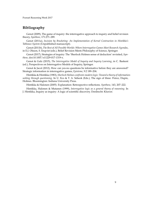#### **Bibliography**

Genot (2009), The game of inquiry: the interrogative approach to inquiry and belief revision theory, *Synthese*, 171:271–289.

Genot (2011a), *Incision by Bracketing: An Implementation of Kernel Contraction in Hintikka's Tableaux System* (Unpublished manuscript).

Genot (2011b), *The Best of All Possible Worlds: Where Interrogative Games Meet Research Agendas*, in E.J. Olsson, S. Enqvist (eds.), Belief Revision Meets Philosophy of Science, Springer.

Genot (2017), Strategies of inquiry: The 'Sherlock Holmes sense of deduction' revisited, *Synthese*, doi:10.1007/s11229-017-1319-x.

Genot & Gulz (2015), *The Interrogative Model of Inquiry and Inquiry Learning*, in C. Baskent (ed.), Perspectives on Interrogative Models of Inquiry, Springer.

Genot & Jacot (2012), How can yes-no questions be informative before they are answered? Strategic information in interrogative games, *Episteme*, 9:2 189–204.

Hintikka & Hintikka (1983), *Sherlock Holmes confronts modern logic: Toward a theory of informationseeking through questioning*. In U. Eco & T. A. Sebeok (Eds.), The sign of three: Peirce, Dupin, Holmes. Bloomington: Indiana University Press.

Hintikka & Halonen (2005). Explanation: Retrospective reflections. *Synthese*, 143, 207–222.

Hintikka, Halonen & Mutanen (1999), *Interrogative logic as a general theory of reasoning*. In J. Hintikka, Inquiry as inquiry: A logic of scientific discovery. Dordrecht: Kluwer.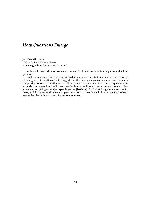### <span id="page-11-0"></span>*How Questions Emerge*

Jonathan Ginzburg *Université Paris-Diderot, France* [yonatan.ginzburg@univ-paris-diderot.fr](mailto:yonatan.ginzburg@univ-paris-diderot.fr)

In this talk I will address two related issues. The first is how children begin to understand questions.

I will present data from corpora in English and experiments in German about the order of emergence of questions. I will suggest that the data goes against some obvious semantic complexity notions of questions and will propose an explanation based on how questions are grounded in interaction. I will also consider how questions structure conversations (or 'language games' [Wittgenstein] or 'speech genres' [Bakhtin]). I will sketch a general structure for these, which argues for different complexities of such games. It is within a certain class of such games that the understanding of questions emerges.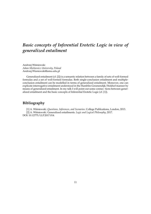### <span id="page-12-0"></span>*Basic concepts of Inferential Erotetic Logic in view of generalized entailment*

Andrzej Wiśniewski *Adam Mickiewicz University, Poland* [Andrzej.Wisniewski@amu.edu.pl](mailto:Andrzej.Wisniewski@amu.edu.pl)

Generalized entailment (cf. [2]) is a semantic relation between a family of sets of well-formed formulas and a set of well-formed formulas. Both single-conclusion entailment and multipleconclusion entailment can be modelled in terms of generalized entailment. Moreover, one can explicate interrogative entailment understood in the Hamblin-Groenendijk/Stokhof manner by means of generalized entailment. In my talk I will point out some connec- tions between generalized entailment and the basic concepts of Inferential Erotetic Logic (cf. [1]).

#### **Bibliography**

[1] A. Wi´sniewski. *Questions, Inferences, and Scenarios*. College Publications, London, 2013. [2] A. Wi´sniewski. Generalized entailments. *Logic and Logical Philosophy*, 2017. DOI: 10.12775/LLP.2017.014.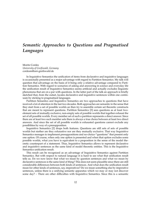### <span id="page-13-0"></span>*Semantic Approaches to Questions and Pragmatised Languages*

Moritz Cordes *University of Greifswald, Germany* <cordesm@uni-greifswald.de>

In Inquisitive Semantics the unification of items from declarative and inquisitive languages is occasionally presented as a major advantage with regard to Partition Semantics. My talk will question that advantage on the basis of it being only a relative advantage compared to Partition Semantics. With regard to scenarios of asking and answering in science and everyday life the unification result of Inquisitive Semantics seems artificial and actually excludes linguistic phenomena that are on a par with questions. In the latter part of the talk an approach is briefly sketched that, from the outset, locates declarative and inquisitive sentences within one continuum by sticking to pragmatised languages.

Partition Semantics and Inquisitive Semantics are two approaches to questions that have received a lot of attention in the last two decades. Both approaches are semantic in the sense that they start from a set of possible worlds an then try to assemble certain set theoretic constructs that are meant to represent questions. Partition Semantics [\[3\]](#page-15-0) sees questions as at least twoelement sets of mutually exclusive, non-empty sets of possible worlds that together exhaust the set of all possible worlds. Every member set of such a partition represents a direct answer. Since there are at least two such member sets there is always a true choice between at least two direct answers. And since the set of all possible worlds is exhausted questions cannot exclude any possiblities by way of a presupposition.

Inquisitive Semantics [\[2\]](#page-15-1) drops both features. Questions are still sets of sets of possible worlds but niether are they exhaustive nor are they mutually exclusive. That way Inquisitive Semantics menages to implement presuppositions and no-choice-"questions" that present only one option. Of course, when only one option is presented and when that option excludes some possible worlds, what you have is equivalent to a proposition in the sense of the model theoretic counterpart of a statement. Thus, Inquisitive Semantics allows to represent declarative and inquisitive sentences as the same kind of model theoretic entities. This is the Inquisitive Semantics unification result.

This result can be recognized as an advantage of Inquisitive Semantics against Partition Semantics. But with respect to natural language it is hard to see what that unification result tells us. Do we now know that what we mean by question sentences and what we mean by declarative sentences is the same kind of thing? This does not seem plausible since there are still considerable differences between both kinds of sentences. And what does the unification result mean for other kinds of sentences, say, imperatives? Do we mean something else by imperative sentences, unless there is a unifying semantic apparatus which we may or may not discover some day? – There are other difficulties with Inquisitive Semantics. Since this is a semantic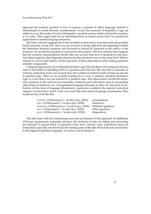approach the syntactic question of how to express a question in object language symbols is subordinated to model theoretic considerations. In fact, the syntactics of Inquisitive Logic are subtle in a way that makes it hard to distinguish a question sentence from a declarative sentence *at its surface*. This might make for an interesting study of formal syntax but it is unsuited for applications in natural language situations.

The latter criticism suggests that it may be better to start from a syntactical side and possibly build a semantic on top of it. That way one is forced to decide right from the beginning whether the distinction between questions and declaratives should be expressed at the surface of the sentences. In my talk this question is answered in the positive. The first criticism then suggests that the syntactic respresentation should take into account that next to declaratives and questions there might be other linguistic phenomena that should be seen on the same level. What is needed is a device that unifies a broad spectrum of these phenomena while making questions instantly recognizable.

Categorial approaches [\[1\]](#page-15-2) or Inferential Erotetic Logic [\[5\]](#page-15-3) with their overt syntactical devices seem to fare better in signalling what is a question and what not. But any kind of semantic or syntactic unification seems out of reach since the symbols invented in both systems are specific to question logic. What we are acutally looking for is a way to enhance standard declarative logic in a way that is not just tailored to a question logic. The enhancement should lift declarative sentences to the same level as inquisitive sentences and it should be open to accomodate other kinds of sentences, too. A pragmatised language [\[4\]](#page-15-4) seems to allow for that kind of unification. In this kind of language illocutionary expressions constitute the separate syntactical category of *performators* which work very much like their natural language counterparts. Thus sentences may look like this:

| SUPPOSE $\exists x(Dinosaur(x) \land Is-alive-in(x, 2030))$ | (Assumption)       |
|-------------------------------------------------------------|--------------------|
| THUS $\exists x(Dinosaur(x) \land Is-alive-in(x, 2030))$    | (Inference)        |
| WHETHER $\exists x(Dinosaur(x) \land Is-alive-in(x, 2030))$ | (Whether-question) |
| WHY $\exists x(Dinosaur(x) \land Is-alive-in(x, 2030))$     | (Why-question)     |
| MUST $\exists x(Dinosaur(x) \land Is-alive-in(x, 2030))$    | (Imperative)       |

The talk closes with first mentioning some relevant features of that approach: its fulfillment of formal requirements (adequate calculus), the inclusion of rules for asking and answering, the inclusion of special kinds of questions (why, how). Second, some unresolved issues are formulated, especially one that honors the starting point of the talk: What is the role of semantics in the suggested question language? An answer can be hinted at.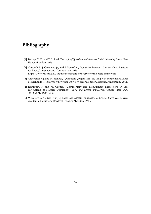### **Bibliography**

- <span id="page-15-2"></span>[1] Belnap, N. D. and T. B. Steel, *The Logic of Questions and Answers*, Yale University Press, New Haven/London, 1976.
- <span id="page-15-1"></span>[2] Ciardelli, I., J. Groenendijk, and F. Roelofsen, *Inquisitive Semantics. Lecture Notes*, Institute for Logic, Language and Computation, 2016. <https://www.illc.uva.nl/inquisitivesemantics/overview/the-basic-framework>
- <span id="page-15-0"></span>[3] Groenendijk, J. and M. Stokhof, "Questions", pages 1059–1131 in J. van Benthem and A. ter Meulen (eds.), *Handbook of Logic and Language*, second edition, Elsevier, Amsterdam, 2011.
- <span id="page-15-4"></span>[4] Reinmuth, F. and M. Cordes, "Commentary and Illocutionary Expressions in Linear Calculi of Natural Deduction", *Logic and Logical Philosophy*, Online First. [DOI:](http://apcz.pl/czasopisma/index.php/LLP/article/view/LLP.2017.002/10887) [10.12775/LLP.2017.002](http://apcz.pl/czasopisma/index.php/LLP/article/view/LLP.2017.002/10887)
- <span id="page-15-3"></span>[5] Wi´sniewski, A., *The Posing of Questions. Logical Foundations of Erotetic Inferences*, Kluwer Academic Publishers, Dordrecht/Boston/London, 1995.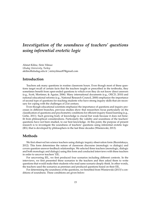### <span id="page-16-0"></span>*Investigation of the soundness of teachers' questions using inferential erotetic logic*

Ahmet Kilinc, Sirin Yilmaz *Uludag University, Turkey* [akilinc@uludag.edu.tr](mailto:akilinc@uludag.edu.tr) | [sirinyilmaz87@gmail.com](mailto:sirinyilmaz87@gmail.com)

#### **Introduction**

Teachers ask many questions in routine classroom hours. Even though most of these questions target recall of certain facts that the teachers taught or prescribed in the textbooks, they sometimes benefit from open-ended questions to which even they do not know direct answers (e.g., Scott, Mortimer, & Aguiar, 2006). Many international documents (e.g., OECD, 2010) and national educational reforms (e.g., National Research Council, 2000) emphasize the importance of second type of questions for reaching students who have strong inquiry skills that are necessary for coping with the challenges of 21st century.

Even though educational scientists emphasize the importance of questions and inquiry processes in different branches, previous studies show that researchers focus particularly on the classification of questions and psychometric conditions for efficient inquiry-based learning (e.g., Girlie, 2011). Such growing body of knowledge is crucial but weak because it does not benefit from philosophical considerations. Particularly the validity and soundness of the teachers' questions have not been studied, to our best knowledge. At this point, the purpose of present research is to investigate the soundness of teachers' questions using inferential erotetic logic (IEL) that is developed by philosophers in the last three decades (Wisniewski, 2013).

#### **Methods**

We first observed ten science teachers using dialogic inquiry observation form (Reznitskaya, 2012). This form determines the nature of classroom discourse (monologic vs dialogic) and covers question-answer-feedback relationships. We selected three teachers (monologic, dialogic and both monologic and dialogic) using this form and conducted interviews with these teachers in order to uncover teachers' EIL.

For uncovering IEL, we first produced four scenarios including different contexts. In the interviews, we first presented these scenarios to the teachers and then asked them to write questions that would make their students who read same scenario deeply think. In other words, the teachers used the scenarios as premises and produced questions based on their EIL.

For determining the soundness of the questions, we benefited from Wisniewski (2013)'s conditions of soundness. These conditions are given below: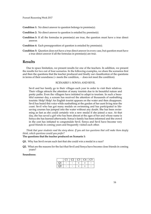**Condition 1:** No direct answer to question belongs to premise(s).

- **Condition 2:** No direct answer to question is entailed by premise(s).
- **Condition 3:** If all the formulas in premise(s) are true, the question must have a true direct answer.

**Condition 4:** Each presupposition of question is entailed by premise(s).

**Condition 5:** Question does not have a true direct answer in every case, but question must have a true direct answer if all the formulas in premise(s) are true.

#### **Results**

Due to space limitation, we present results for one of the teachers. In addition, we present the results for two out of four scenarios. In the following examples, we share the scenarios first and then the questions that the teacher produced and finally our classification of the questions in terms of their soundness (+ meets the condition, − does not meet the condition).

#### SCENARIO 1: SONYA AND SEVIL

Sevil and her family go to their villages each year in order to visit their relatives. Their village attracts the attention of many tourists due to its beautiful nature and pretty paths. Even the villagers have initiated to adapt to tourism. In such a beautiful summer day, a scream has received the attention of thousands of sunbathing tourists: Help! Help! An English tourist appears on the water and then disappears. Sevil has heard this voice while sunbathing at the garden of her aunt living near the coast. Sevil who has got many medals on swimming and has participated in lifesaving courses has jumped into the water without any doubt. She has been swimming as fast as she could certainly win a new medal if she joined a race. At that day, she has saved a girl who has been almost at the ages of her and whose name is Sonya she has learned afterwards. Sonya's family has been informed and the crowd in the cost has initiated to congratulate Sevil. Sonya and Sevil have become very good friends in coming years and frequently visited each other.

*Think that your students read the story above. If you ask two questions that will make them deeply think, which questions would you prefer?*

#### **The questions that the teacher produced on Scenario 1:**

- **Q1.** Why has Sevil swum such fast that she could win a medal in a race?
- **Q2.** What are the reasons for the fact that Sevil and Sonya have become close friends in coming years?

#### **Soundness:**

|      | $\cdot$ C2 $\cdot$ | $\cdot$ C3 $+$ | C4 | C <sub>5</sub> |
|------|--------------------|----------------|----|----------------|
| Э1   |                    |                |    |                |
| . YZ |                    |                |    |                |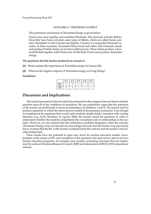#### SCENARIO 2 : TEROMEKET ENERGY

The production mechanism of Teromeket Energy is given below:

Purmo ions come together and constitute Pilokesek. This structure activates Milota. Once they have been activated, some types of Milota, which are called Karok, produce Teromeket via the Cinomer mechanism. Cinomer is a sequential Folomatic reaction. In these reactions, Teromeket Fillurs bond each other with Folomatic bonds and produce Probek chains via an irreversible process. These chains produce a Kozmoterik field together with Purmo ions. In this field, Purmo ions produce Teromeket energy.

#### **The questions that the teacher produced on scenario 2:**

- **Q1.** Please explain the importance of Teromeket energy for human life.
- **Q2** . What are the negative impacts of Teromeket energy on living things?

#### **Soundness:**

|            | $\cdot$ 1 | $C2 \mid C3$ | $\overline{C4}$ + | C <sub>5</sub> |
|------------|-----------|--------------|-------------------|----------------|
| $\Omega$ 1 |           |              |                   |                |
| $\Omega$   |           |              |                   |                |

#### **Discussion and Implications**

The results (presented in the text and to be presented in the congress) showed that no teacher question meet all of the conditions of soundness. We can particularly argue that the questions of the teacher are problematic in terms of redundancy (Conditions 1 and 2). The teacher tried to produce questions to which the direct answer existed in the premises (scenarios). Even though we emphasized the questions that would make students deeply think, consistent with existing literature (e.g., Scott, Mortimer, & Aguiar, 2006), the teacher raised the questions in order to understand whether the students comprehend the conceptions and/or relationships in the scenario. However, we also noticed that this redundancy problem disappaers when the scenario (Teromeket Energy) does not include any knowledge structure that the teacher may previously know. It seems that the IEL of the teacher is influenced by the contexts and the teacher's knowledge background.

These results have the potential to open new doors for teacher education studies. Incorporation of the nature of IEL and soundness of the questions into (pre-service and in-service) teacher education programs, for example, may produce promising outcomes that are emphasized by national (National Research Council, 2000) and international (OECD, 2010) educational reforms.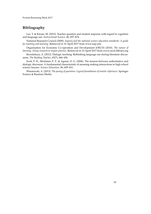#### **Bibliography**

Lee, Y. & Kinzie, M. (2012). Teacher question and student response with regard to cognition and language use. *Instructional Science*, 40, 857–874.

National Research Council (2000). *Inquiry and the national science education standards: A guide for teaching and learning*. Retrieved in 10 April 2017 from www.nap.edu

Organisation for Economic Co-operation and Development (OECD) (2010). *The nature of learning. Using research to inspire practice*. Retrieved in 10 April 2017 from www.oecd-ilibrary.org

Reznitskaya, A. (2012). Dialogic teaching: Rethinking language use during literature discussions. *The Reading Teacher*, 65(7), 446–456.

Scott, P. H., Mortimer, E. F., & Aguiar, O. G. (2006). The tension between authoritative and dialogic discourse: A fundamental characteristic of meaning making interactions in high school science lessons. *Science Education*, 90, 605–631.

Wisniewski, A. (2013). *The posing of questions: Logical foundations of erotetic inferences*. Springer Science & Business Media.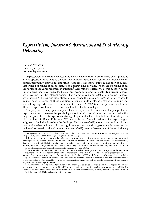### <span id="page-20-0"></span>*Expressivism, Question Substitution and Evolutionary Debunking*

Christos Kyriacou *University of Cyprus* [ckiriakou@gmail.com](mailto:ckiriakou@gmail.com)

Expressivism is currently a blossoming meta-semantic framework that has been applied to a wide spectrum of normative domains like morality, rationality, justification, modals, conditionals, probability, knowledge and truth. $1$  One core expressivist strategy has been to suggest that instead of asking about the nature of a certain kind of value, we should be asking about the nature of the value judgment in question.<sup>[2](#page-20-2)</sup> According to expressivists, this question substitution opens theoretical space for the elegant, economical and explanatorily powerful expressivist treatment of the relevant domain. For example, Gibbard (2003:6), a prominent expressivist, writes: "The expressivists' strategy is to change the question. Don't ask directly how to define "good"...[rather] shift the question to focus on judgments: ask, say, what judging that [something] is good consists in". Carter and Chrisman (2012:323) call this question substitution 'the core expressivist maneuver', and I shall follow the terminology.  $3$ 

The purpose of this paper is to place the core expressivist maneuver in the perspective of experimental work in cognitive psychology about question substitution and examine what this might suggest about this expressivist strategy. In particular, I have in mind the pioneering work of Nobel laureate Daniel Kahneman (2011) (and the late Amos Tversky) on the psychology of judgment.<sup>[4](#page-20-4)</sup> I will first introduce the findings of Kahneman (2011) about how question substitution works, what its function in our cognitive economy is and suggest an evolutionary explanation of its causal origins akin to Kahneman's (2011) own understanding of the evolutionary

<span id="page-20-1"></span><sup>1</sup>See Ayer (1936), Hare (1952), Gibbard (1990; 2003), Blackburn (1984, 1993, 1998) Chrisman (2007), Ridge (2006; 2007), Kappel (2010), Field (2000, 2009), Kyriacou (2012), Yalcin (2012).<br><sup>2</sup>I do not mean to imply that it is the only extant expressivist dialectical strategy, but it is surely one that promi-

<span id="page-20-2"></span>nent expressivists, such as Gibbard (2003:6) and Carter and Chrisman (2012:323) explicitly endorse. More ambitiously, it could be argued that this is the fundamental expressivist strategy stemming out of a commitment to ontological naturalism, but such an argument would have been both risky and arduous and would inevitably take us too far afield. I will therefore restrict the target of discussion to one core expressivist strategy.

<span id="page-20-3"></span><sup>&</sup>lt;sup>3</sup>This is a dialectical maneuver characteristic of value antirealism more generally and I suspect that the same style of argument could be run against other sorts of antirealism as well. But I choose to focus on expressivism for three reasons. First, prominent defenders of expressivism like Gibbard (2003) and Carter and Chrisman (2012) explicitly accept the question substitution. Second, expressivism is one of the most popular forms of antirealism in recent debates. Third, expressivists often appeal to evolutionary considerations in support of their position, something that will prove important in the ensuing discussion.

<span id="page-20-4"></span> $4$ As Kahneman (2011) acknowledges, much of this work, (the so-called 'heuristics and biases approach' and also 'the prospect theory' that won him the Nobel Prize for behavioral economics) has been carried out and published in journals with his lifelong friend and collaborator Amos Tversky. Unfortunately, Tversky passed away prematurely in 1996. Kahneman's (2011) book is dedicated to Tversky.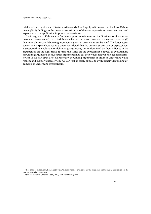origins of our cognitive architecture. Afterwards, I will apply, with some clarifications, Kahneman's (2011) findings to the question substitution of the core expressivist maneuver itself and explore what the application implies of expressivism.

I will argue that Kahneman's findings support two interesting implications for the core expressivist maneuver: (a) that it is dubious whether the core expressivist maneuver is apt and (b) that an evolutionary debunking argument against expressivism can be run.<sup>[5](#page-21-0)</sup> The latter result comes as a surprise because it is often considered that the antirealist position of expressivism is supported by evolutionary debunking arguments, not undermined by them.<sup>[6](#page-21-1)</sup> Hence, if the argument is on the right track, it turns the tables on the expressivist's appeal to evolutionary debunking arguments because such arguments may cut both ways: in favor and against expressivism. If we can appeal to evolutionary debunking arguments in order to undermine value realism and support expressivism, we can just as easily appeal to evolutionary debunking arguments to undermine expressivism.

<span id="page-21-0"></span><sup>&</sup>lt;sup>5</sup>For ease of exposition, henceforth with 'expressivism' I will refer to the strand of expressivism that relies on the core expressivist maneuver.

<span id="page-21-1"></span><sup>&</sup>lt;sup>6</sup>See for instance Gibbard (1990, 2003) and Blackburn (1998).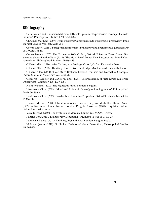#### **Bibliography**

Carter Adam and Chrisman Matthew. (2012). 'Is Epistemic Expressivism Incompatible with Inquiry?'. Philosophical Studies 159 (3):323-339.

Chrisman Matthew. (2007). 'From Epistemic Contextualism to Epistemic Expressivism'. Philosophical Studies, Vol.135(2), 225-254.

Cowan Robert. (2015). 'Perceptual Intuitionism'. Philosophy and Phenomenological Research Vol. XC(1): 164-193.

Cuneo Terence. (2007). The Normative Web. Oxford, Oxford University Press. Cuneo Terence and Shafer-Landau Russ. (2014). 'The Moral Fixed Points: New Directions for Moral Nonnaturalism'. Philosophical Studies 171:399-443.

Gibbard Allan. (1990). Wise Choices, Apt Feelings. Oxford, Oxford University Press.

Gibbard Allan. (2003). Thinking How to Live. Cambridge, MA, Harvard University Press.

Gibbard Allan. (2011). 'How Much Realism? Evolved Thinkers and Normative Concepts' Oxford Studies in Metaethics Vol. 6, 33-51.

Goodwin P. Geofrey and Darley M. John. (2008). 'The Psychology of Meta-Ethics: Exploring Objectivism'. Cognition 106, 1339-1366.

Haidt Jonathan. (2012). The Righteous Mind. London, Penguin.

Heathwood Chris. (2009). 'Moral and Epistemic Open-Question Arguments'. Philosophical Books 50, 83-98.

Heathwood Chris. (2015). 'Irreducibly Normative Properties'. Oxford Studies in Metaethics 10:216-244.

Huemer Michael. (2008). Ethical Intuitionism. London, Palgrave MacMillan. Hume David. (1985). A Treatise of Human Nature. London, Penguin Books. —. (2005). Enquiries. Oxford, Oxford University Press.

Joyce Richard. (2007). The Evolution of Morality. Cambridge, MA:MIT Press.

Kahane Guy. (2011). 'Evolutionary Debunking Arguments'. Nous 45:1, 103-25.

Kahneman Daniel. (2011). Thinking, Fast and Slow. London, Penguin Books.

McBrayer Justin. (2010). 'A Limited Defense of Moral Perception', Philosophical Studies 149:305-320.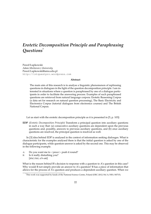### <span id="page-23-0"></span>*Erotetic Decomposition Principle and Paraphrasing Questions*[\\*](#page-0-0)

Paweł Łupkowski *Adam Mickiewicz University* [Pawel.Lupkowski@amu.edu.pl](mailto:Pawel.Lupkowski@amu.edu.pl) <http://intquestpro.wordpress.com>

#### **Abstract**

The main aim of this research is to analyse a linguistic phenomenon of rephrasing questions in dialogues in the light of the question decomposition principle. I am interested in situations where a question is paraphrased by one of a dialogue participants in order to facilitate the answering process. Examples of such paraphrased questions are retrieved from natural language corpora: Erotetic Reasoning Corpus (a data set for research on natural question processing), The Basic Electricity and Electronics Corpus (tutorial dialogues from electronics courses) and The British National Corpus.

Let us start with the erotetic decomposition principle as it is presented in [\[5,](#page-25-0) p. 103]:

**EDP** (*Erotetic Decomposition Principle*) Transform a principal question into auxiliary questions in such a way that: (a) consecutive auxiliary questions are dependent upon the previous questions and, possibly, answers to previous auxiliary questions, and (b) once auxiliary questions are resolved, the principal question is resolved as well.

In [\[3\]](#page-25-1) idea behind EDP is analysed in the context of information seeking dialouges. What is characteristic for the examples analysed there is that the initial question is asked by one of the dialogue participants, while question-answer is asked by the second one. This may be observed in the following example.

- A: Do you want me to <*pause*> push it round?
- B: Is it really disturbing you? [BNC:FM1, 679–680]

What is the reason behind B's decision to response with a question to A's question in this case? Why would B not simply provide an answer to A's question? B has a piece of information that allows for the process of A's question and produces a dependent auxiliary question. When we

<sup>\*</sup>This work was supported by funds of the National Science Centre, Poland (DEC-2012/04/A/HS1/00715).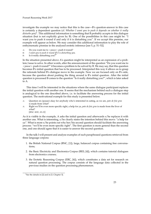investigate the example we may notice that this is the case—B's question-answer in this case is certainly a dependent question (cf. *Whether I want you to push it depends on whether it really disturbs you*) [1](#page-24-0) . This additional information is something that B probably accepts in this dialogue situation (but is not explicitly given by B). One of the possibilities in this case might be: "I want you to push it round if and only if it is disturbing you". If we accept this premise, our example will appear as below. We may consider this additional information to play the role of enthymematic premise in the analysed erotetic inference [see [5,](#page-25-0) p. 51–52].

- A: Do you want me to <*pause*> push it round?
- B: *I want you to push it round iff it is disturbing you.*
- B: Is it really disturbing you?

In the situation presented above  $A$ 's question might be interpreted as an expression of a problem/issue to solve. In other words, after the announcement of the question "Do you want me to <*pause*> push it round?" it becomes a problem to be solved by B. We may say, that this question becomes B's initial question that has to be processed. Interpreted this way it allows us to grasp the rationale behind B's dialogue move in the example. Now we are focused only on B's side, because the question about pushing the thing around is B's initial question. After the initial question is processed B comes to the question "Is it really disturbing you?", which is later asked to A.

This time I will be interested in the situations where the same dialogue participant replaces the initial question with another one. It seems that the mechanism behind such a dialogue step is analogical to the one described above, i.e. to facilitate the answering process for the initial question. The motivational example for this study is presented below.

- A: Question six (pause) okay for anybody who's interested in eating, as we are, *pate de foie gras* is made from what?
- A: Right we'll be even more specific right, a help for ya, *pate de foie gras* is made from the liver of what? [BNC: KDC, 20–21]

As it is visible in the example, A asks the initial quesiton and afterwards s/he replaces it with another one. What is interesting, s/he clearly states the intention behind this move: "a help for ya". What is more s/he points out why her/his second question should facilitate the answering process: "we'll be even more specific right". The first question is more general than the second one, and one should agree that it is easier to answer the second question.

In the talk I will present and analyse examples of such paraphrased questions retrieved from three language corpora:

- 1. the British National Corpus (BNC, [\[1\]](#page-25-2)), large, balanced corpus containing free conversations;
- 2. the Basic Electricity and Electronics Corpus (BEE; [\[4\]](#page-25-3)), which contains tutorial dialogues from electronics courses;
- 3. the Erotetic Reasoning Corpus (ERC, [\[6\]](#page-25-4)), which constitutes a data set for research on natural question processing. The corpus consists of the language data collected in the previous studies on the question processing phenomenon.

<span id="page-24-0"></span><sup>&</sup>lt;sup>1</sup>See the details in [\[2\]](#page-25-5) and in [\[3,](#page-25-1) Chapter 3].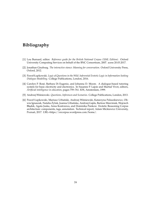### **Bibliography**

- <span id="page-25-2"></span>[1] Lou Burnard, editor. *Reference guide for the British National Corpus (XML Edition)*. Oxford University Computing Services on behalf of the BNC Consortium, 2007. acess 20.03.2017.
- <span id="page-25-5"></span>[2] Jonathan Ginzburg. *The interactive stance: Meaning for conversation*. Oxford University Press, Oxford, 2012.
- <span id="page-25-1"></span>[3] Paweł Łupkowski. *Logic of Questions in the Wild. Inferential Erotetic Logic in Information Seeking Dialogue Modelling*. College Publications, London, 2016.
- <span id="page-25-3"></span>[4] Carolyn P. Rosé, Barbara Di Eugenio, and Johanna D. Moore. A dialogue-based tutoring system for basic electricity and electronics. In Susanne P. Lajoie and Martial Vivet, editors, *Artificial intelligence in education*, pages 759–761. IOS, Amsterdam, 1999.
- <span id="page-25-0"></span>[5] Andrzej Wi´sniewski. *Questions, Inferences and Scenarios*. College Publications, London, 2013.
- <span id="page-25-4"></span>[6] Paweł Łupkowski, Mariusz Urbański, Andrzej Wiśniewski, Katarzyna Paluszkiewicz, Oliwia Ignaszak, Natalia Żyluk, Joanna Urbańska, Andrzej Gajda, Bartosz Marciniak, Wojciech Błądek, Agata Juska, Anna Kostrzewa, and Dominika Pankow. Erotetic Reasoning Corpus architecture: components, tags, annotation. Technical report, Adam Mickiewicz University, Poznań, 2017. URL=https://ercorpus.wordpress.com/home/.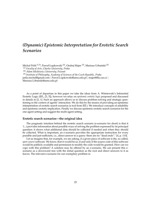### <span id="page-26-0"></span>*(Dynamic) Epistemic Interpretation for Erotetic Search Scenarios*

Michal Peliš<sup>(1,3)</sup>, Paweł Łupkowski<sup>(2)</sup>, Ondrej Majer<sup>(3)</sup>, Mariusz Urbański<sup>(2)</sup> (1) *Faculty of Arts, Charles University, Praha* (2) *Adam Mickiewicz University, Pozna ´n* (3) *Institute of Philosophy, Academy of Sciences of the Czech Republic, Praha* <pelis.michal@gmail.com> | <Pawel.Lupkowski@amu.edu.pl> | <majer@flu.cas.cz> | <Mariusz.Urbanski@amu.edu.pl>

As a point of departure in this paper we take the ideas from A. Wiśniewski's Inferential Erotetic Logic (IEL, [\[3,](#page-30-0) [5\]](#page-25-0)), however we relay on *epistemic erotetic logic* proposed and discussed in details in [\[2,](#page-30-1) [1\]](#page-30-2). Such an approach allows us to discuss problem-solving and strategic questioning in the context of agents' interaction. We do this by the means of providing an epistemic interpretation of erotetic search scenarios (a tool from IEL). We introduce concepts of askability and epistemic erotetic implication. Finally we discuss epistemic erotetic search scenarios for the one-agent setting and suggest the multi-agent setting.

#### **Erotetic search scenarios—the original idea**

The pragmatic intuition behind the erotetic search scenario (e-scenario for short) is that it '(...) provides information about possible ways of solving the problem expressed by its principal question: it shows what additional data should be collected if needed and when they should be collected. What is important, an e-scenario provides the appropriate instruction for every possible and just-sufficient, i.e., direct answer to a query: there are no "dead ends".' [\[4,](#page-30-3) p. 110].

Let us imagine that, for example, we are asking, if a given piece of software is the, so called, *open-source* software. We know, that it would be so, if and only if the source code of this software would be publicly available and permission to modify the code would be granted. How can we cope with this problem? A solution may be offered by an e-scenario. We can present this escenario as a downward tree with the initial question as the root and direct answers to it as leaves. The relevant e-scenario for our exemplary problem is: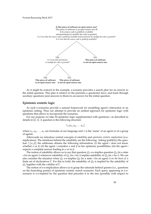

As it might be noticed in the example, e-scenario provides a search plan for an answer to the initial question. This plan is relative to the premises a questioner have, and leads through auxiliary questions (and answers to them) to an answer for the initial question.

#### **Epistemic erotetic logic**

As such e-scenarios provide a natural framework for modelling agent's interaction in an epistemic setting. Thus our attempt to provide an unified approach for epistemic logic with questions that allows to incorporate the scenarios.

For our purpose we take S5 epistemic logic supplemented with questions—as described in details in [\[2,](#page-30-1) [1\]](#page-30-2). A question is the following structure

$$
?_{x}\{\alpha_1,\alpha_2,\ldots \alpha_n\}
$$

where  $\alpha_1, \alpha_2, \ldots, \alpha_n$  are formulas of our language and *x* is the 'name' of an agent or of a group of agents.

Afterwards we introduce central concepts of *askability* and *epistemic erotetic implication* (e-eimplication). The intuitions behind the askability are the following. Asking (publicly) the question  $?<sub>i</sub>$ { $\alpha$ ,  $\beta$ } the addressee obtains the following information: (i) the agent *i* does not know whether *α* or *β*; (ii) the agent *i* considers *α* and *β* as her epistemic possibilities; (iii) the agent *i* expects a complete answer leading to *α* or to *β*.

The notion of askability allows us to say that question  $Q_1$  e-e-implies question  $Q_2$  (in a state *s* for an agent *i*) whenever askability of *Q*<sup>1</sup> (in *s* for *i*) implies askability of *Q*<sup>2</sup> (in *s* for *i*). We can also consider the situation when  $Q_1$  e-e-implies  $Q_2$  (in a state *s* for an agent *i*) *on the basis of* a finite set of declaratives Γ. For this to hold, the askability of *Q*<sup>2</sup> is implied by the askability of *Q*<sup>1</sup> together with the validity of Γ.

The notion of e-e-implication allows us to grasp the rationale behind queries (i.e., questions on the branching points) of epistemic erotetic search scenarios. Each query appearing in e-escenario is e-e-implied by the question that precedes it in the tree (possibly with respect to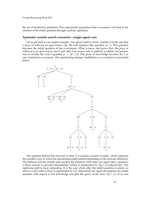the set of declarative premises). This requirement guarantees that e-e-scenario will lead to the solution of the initial question through auxiliary questions.

#### **Epistemic erotetic search scenarios—single-agent case**

Let us get back to our simple example. Our agent wants to know whether it is the case that a piece of software an open-source one. We will represent this question as ? *α*. This question becomes the initial question of her e-e-scenario. What is more, she knows that: the piece of software is an open-source one if and only if its source code is publicly available and permission to modify the code is granted ( $\alpha \leftrightarrow (\beta \wedge \gamma)$ ). This piece of knowledge becomes the Γ of our considered e-e-scenario. Her questioning strategy established as e-e-scenario is presented below.



The intuition behind this structure is clear. E-e-scenario consists of paths, which represent the possible ways in which the questioning might unfold (depending on the answers obtained). The leftmost and the middle path present the situation when after our agent asks a question, a direct answer is provided immediately (which is represented by [*α*], [¬*α*] respectively). The rightmost path is more interesting. It is the case where after the initial question is asked, no answer is provided (which is represented by [ ]). Afterwards our agent decomposes the initial question with respect to her knowledge and gets the query of the form ? ( $\beta \wedge \gamma$ )—if no one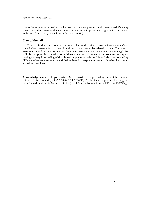knows the answer to ?*α* maybe it is the case that the new question might be resolved. One may observe that the answer to the new auxiliary question will provide our agent with the answer to the initial question (see the leafs of the e-e-scenario).

#### **Plan of the talk**

We will introduce the formal definitions of the used epistemic erotetic terms (*askability*, *ee-implication*, *e-e-scenarios*) and mention all important properties related to them. The idea of e-e-scenarios will be demonstrated on the single-agent version of *public announcement logic*. We will also propose the extension to multi-agent settings where e-e-scenarios serve as a questioning strategy in revealing of distributed (implicit) knowledge. We will also discuss the key differences between e-scenarios and their epistemic interpretation, especially when it comes to goal-directness idea.

Acknowledgements. P. Łupkowski and M. Urbański were supported by funds of the National Science Centre, Poland (DEC-2012/04/A/HS1/00715). M. Peliš was supported by the grant From Shared Evidence to Group Attitudes (Czech Science Foundation and DFG, no. 16-07954J).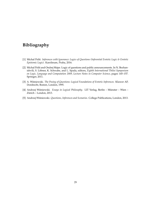### **Bibliography**

- <span id="page-30-2"></span>[1] Michal Peliš. *Inferences with Ignorance: Logics of Questions (Inferential Erotetic Logic & Erotetic Epistemic Logic)*. Karolinum, Praha, 2016.
- <span id="page-30-1"></span>[2] Michal Peliš and Ondrej Majer. Logic of questions and public announcements. In N. Bezhanishvili, S. Löbner, K. Schwabe, and L. Spada, editors, *Eighth International Tbilisi Symposium on Logic, Language and Computation 2009, Lecture Notes in Computer Science*, pages 145–157. Springer, 2011.
- <span id="page-30-0"></span>[3] A. Wiśniewski. *The Posing of Questions: Logical Foundations of Erotetic Inferences*. Kluwer AP, Dordrecht, Boston, London, 1995.
- <span id="page-30-3"></span>[4] Andrzej Wiśniewski. *Essays in Logical Philosophy*. LIT Verlag, Berlin - Münster - Wien -Zürich – London, 2013.
- [5] Andrzej Wiśniewski. *Questions, Inferences and Scenarios*. College Publications, London, 2013.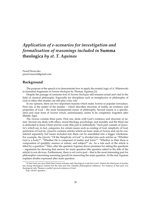### <span id="page-31-0"></span>*Application of e-scenarios for investigation and formalisation of reasonings included in* **Summa theologica** *by st. T. Aquinas*

Paweł Swieczka ´ [pawel.marcin@gmail.com](mailto:pawel.marcin@gmail.com)

#### **Background**

The purpose of the speech is to demonstrate how to apply the erotetic logic of A. Wiśniewski to formalize fragments of *Summa theologiae* by Thomas Aquinas [\[1\]](#page-34-0).

Despite the passage of centuries text of *Summa theologiae* still remains actual and vital in the field of classical philosophy. Especially for disciplines such as metaphysics or philosophy of God or ethics this treatise can still play a key role.

In my opinion, there are two important reasons which make *Summa* so popular nowadays. First one, is the matter of the treatise – which describes structure of reality, an existence and properties of God – the most fundamental issues of philosophy. Second reason is a specific, strict and clear form of *Summa* which, unfortunately, seems to be completely forgotten after Middle Ages.

The *Summa* consists three parts. First one, deals with God's existence and structure of nature. Second one deals with ethics, moral theology, psychology and morality and the third one is dedicated to Jesus Christ and his work (this part is unfinished).[1](#page-31-1) Each part consists of *Quaestio*'s which are, in fact, categories, for certain issues such as existing of God, simplicity of God, perfection of God etc. *Quaestio* contains articles which are basic units of *Summa* and can be considered separately, but issues included into them can be assembled into a bigger wholeness. For example, the *Questio* "Of the Simplicity of God" is divided into such articles as "Whether God is a body?", "Whether He is composed of matter and form?", "Whether in Him there is composition of quiddity, essence or nature, and subject?" etc. As a rule each of the article is titled by a question.<sup>[2](#page-31-2)</sup> Then, after the question Aquinas shows premises for asking the questions – arguments for showing that answer for main question (the question asked in the title of the article) is not obvious. Furthermore, there is *sed contra* part – that is the most interesting part for philosopher concerning reasoning (proof) for answering the main question. At the end Aquinas explains doubts expressed after main question.

<span id="page-31-1"></span><sup>&</sup>lt;sup>1</sup>At first look one may think that *Summa* remains only theological work but it isn't. Indeed the third part of treatise has strong theological content but the first part has valuable philosophical influence. For instance if that part was theological only Thomas wouldn't proved existence of God.

<span id="page-31-2"></span><sup>2</sup>Esp. *whether* question.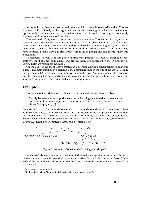In my opinion, there are two mutual points which connect Wisniewski's and st. Thomas Aquinas methods. Firstly, at the beginning of Aquinas' reasoning the whether-question is set up. Secondly, before answer to that question some kind of proof has to be given (obviously Aquinas couldn't use formalised proofs).

The main task of my work is to reconstruct reasoning of st. Thomas Aquinas by using escenarios of A. Wiśniewski. $3$  My intention is to achieve this objective in two ways. First one by using existing proofs carried out by modern philosophers (modern logicians) and include them into e-scenarios. Eventually, I am trying to find and correct some fallacies which may have occurred. Second way is to create proofs from the beginning and also include them into e-scenarios.

To reconstruct proofs I am using classical first order predicate calculus [\[4\]](#page-34-1) enriched by separate system of axioms. Both axioms and proved theses are suggested in the original text of *Summa* (relevant references included).

On the basis of the proof I have created an e-scenario showing consequences of changing axioms. The main question in e-scenario is the question formed in the title of the article. Usually the "golden path" in e-scenario is a proof carried out before. Queries included into e-scenario may be considered as an opportunities for investigating another possibilities inferenced from another assumptions (which are in fact answers for queries).

#### **Example**

Let have a look at original text of *Summa* and formalise it as simple as possible.

Thirdly, because every composite has a cause, for things in themselves different cannot unite unless something causes them to unite. But God is uncaused, as shown above. [\[1,](#page-34-0) I, q. 3, a. 7, co]

Because an "abstract" is rather short genre I have chosen short and simple fragment to analyse. So there is no necessary to present proof I usually present in the first phase of formalization. Let *Cx* stands for *x is composite*, *CAx* stands for: *x has a cause*, *Gx* – *x is God*. Let assume two axioms. First one comes from sentence:*every composite has a cause*, another one comes from: *God is uncaused*. These two is enough to draw an e-scenario below:

$$
? \exists x(Gx \land Cx) \forall x(Cx \to CAx) \forall x(Gx \to \neg CAx)? Cx
$$
  

$$
\neg Cx \neg (Cx \land Gx) \neg \exists x(Cx \land Gx)
$$
  

$$
\neg Gx \neg (Gx \land Cx) \neg \exists x(Gx \land Cx) \quad Gx \leftarrow CAx. Cx
$$

Figure 1: e-scenario "Whether God is altogether simple? "

<span id="page-32-2"></span>As showed above no matter if considered individual is composite or not – in both possibilities the main thesis is proved – that is: cannot exists God who is composite. Two of three leafs of the graph have such form but the third one is contradictory that means answer *Gx* is paradoxical.[4](#page-32-1)

<span id="page-32-0"></span><sup>&</sup>lt;sup>3</sup>I use e-scenarios described in [\[2\]](#page-34-2).

<span id="page-32-1"></span> $<sup>4</sup>$ In this interpretation. About contradictions in paths of e-scenarios see at [\[3\]](#page-34-3).</sup>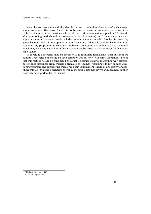Nevertheless there are few difficulties. According to definition of e-scenario<sup>[5](#page-33-0)</sup> such a graph is not proper one. The reason for that is not because of consisting contradiction in one of the paths but because of the question such as  $? Gx$ . According to notation applied by Wisniewski after questioning mark should be a sentence (or set of sentences) but *Gx* is not a sentence - it is predicate term. However proofs included in e-derivations are valid. Problem is caused by generalization rule<sup>[6](#page-33-1)</sup> – in my opinion it would be a loss if that rule couldn't be applied in escenarios. My proposition to solve that problem is to assume that individual *x* is a variable which may have any value but in this e-scenario can be treated as a parameter (with any but solid value).

To conclude e-scenarios may be proper way to formulate formalisms taken out from the Summa Theologica but should be used carefully and possibly with some adaptations. I hope that this method would be considered as valuable because it shows in genuine way different possibilities inferenced from changing premises of Aquinas' reasonings. In my opinion questioning premises and considering them once again is immanent feature of philosophy and fulfilling this task by using e-scenarios as well as modern logics may revive and shed new light on classical and important text of *Summa*.

<span id="page-33-1"></span><span id="page-33-0"></span><sup>5</sup> [\[2\]](#page-34-2) Definition 9.4 p. 113.  ${}^{6}$ That is:  $\alpha(\nu) \vdash \forall \nu \alpha(\nu)$ .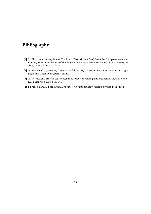### **Bibliography**

- <span id="page-34-0"></span>[1] St. Thom as Aquinas, *Summa Theologica*, Part I (Prima Pars) From the Complete American Edition, Translator: Fathers of the English Dominican Province, Release Date: January 26, 2006, Access: March 21, 2017.
- <span id="page-34-2"></span>[2] A. Wiśniewski, Questions, Inferences and Scenarios, College Publications, Studies in Logic. Logic and Cognitive Systems, 46, 2013.
- <span id="page-34-3"></span>[3] A. Wiśniewski, Erotetic search scenarios, problem-solving, and deduction, *Logique et analyse*, 47.185/188 (2004): 139-166.
- <span id="page-34-1"></span>[4] J. Słupecki and L. Borkowski, *Elementy logiki matematycznej i teorii mnogości*, PWN 1984.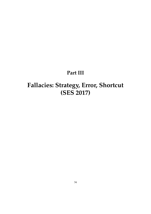# **Part III**

# <span id="page-35-0"></span>**Fallacies: Strategy, Error, Shortcut (SES 2017)**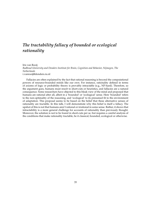### <span id="page-36-0"></span>*The tractability fallacy of bounded or ecological rationality*

Iris van Rooij *Radboud University and Donders Institute for Brain, Cognition and Behavior, Nijmegen, The Netherlands* [i.vanrooij@donders.ru.nl](mailto:i.vanrooij@donders.ru.nl)

Fallacies are often explained by the fact that rational reasoning is beyond the computational powers of resource-bounded minds like our own. For instance, rationality defined in terms of axioms of logic or probability theory is provably intractable (e.g., NP-hard). Therefore, so the argument goes, humans must resort to short-cuts or heuristics, and fallacies are a natural consequence. Some researchers have objected to this bleak view of the mind and proposed that humans are rational after all, albeit in a 'bounded' or 'ecological' sense. Here 'bounded' refers to the non-optimality of the reasoning, and 'ecological' to its presumed fit to the environment of adaptation. This proposal seems to be based on the belief that these alternative senses of rationality are tractable. In this talk, I will demonstrate why this belief is itself a fallacy. The upshot of this is not that humans aren't rational or irrational in some sense. Rather, it shows that intractability is a more general challenge for accounts of rationality than previously thought. Moreover, the solution is not to be found in short-cuts per se, but requires a careful analysis of the conditions that make rationality tractable, be it classical, bounded, ecological or otherwise.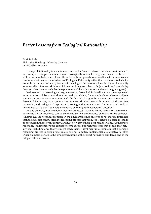### <span id="page-37-0"></span>*Better Lessons from Ecological Rationality*

Patricia Rich *Philosophy, Hamburg University, Germany* [pr15102@bristol.ac.uk](mailto:pr15102@bristol.ac.uk)

Ecological Rationality is sometimes defined as the "match between mind and environment"; for example, a simple heuristic is more ecologically rational in a given context the better it will perform in that context. I heartily endorse this approach to rationality, with some caveats: I endorse what I see as the substance of Ecological Rationality rather than its rhetoric (which, for example, is unduly unfriendly towards formal logic). Furthermore, I see Ecological Rationality as an excellent framework into which we can integrate other tools (e.g. logic and probability theory) rather than as a wholesale replacement of them (again, as the rhetoric might suggest).

In the context of reasoning and argumentation, Ecological Rationality is most often appealed to in order to criticize or cast doubt on particular claims, for example about whether subjects commit an error in some reasoning task. In this talk, I argue for a more constructive use of Ecological Rationality as a systematizing framework which naturally unifies the descriptive, normative, and pedagogical aspects of reasoning and argumentation. An important benefit of this framework is that it can help us to focus on the right (most helpful) questions.

As one example, inquiry should focus on processes – such as simple heuristics – rather than outcomes; ideally processes can be simulated so that performance statistics can be gathered. Whether e.g. the notorious response in the Linda Problem is an error or not matters much less than the question of how often the reasoning process that produced it can be expected to lead to poor results in the relevant context, and just how grave those poor results will be. Furthermore, rationality judgments should consist of comparisons between processes that people may actually use, including ones that we might teach them; it isn't helpful to complain that a person's reasoning process is error-prone unless one has a better, implementable alternative to offer. Other examples pertain to the omnipresent issue of the correct normative standards, and to the categorization of errors.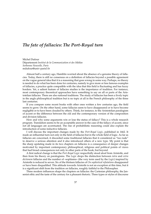### <span id="page-38-0"></span>*The fate of fallacies: The Port-Royal turn*

Michel Dufour Département *Institut de la Communication et des Médias Sorbonne Nouvelle, Paris* [mdufour@univ-paris3.fr](mailto:mdufour@univ-paris3.fr)

Almost half a century ago, Hamblin worried about the absence of a genuine theory of fallacies. Today, there is still no consensus on a definition of fallacies beyond a possible agreement on the vague general idea that it is a reasoning that goes wrong in some way. Perhaps, no theory is needed to do what has been done for centuries, namely to give more or less famous examples of fallacies, a practice quite compatible with the idea that this field is fluctuating and has fuzzy borders. Yet, a salient feature of fallacies studies is the importance of tradition. For instance, most contemporary theoretical approaches have something to say on all or parts of the Aristotelian fallacies. There are also national traditions. The study of fallacies has been a lively topic in the anglo philosophical tradition but is no topic at all in the French philosophy of the three last centuries.

If you compare some recent books with other ones written a few centuries ago, the field seems to grow. On the other hand, some fallacies seem to have disappeared or to have become negligible or to have been clouded by others. Think, for instance, to the Aristotelian paralogism of accent or the difference between the old and the contemporary version of the composition and division fallacies.

How and why some arguments win or lose the status of fallacy? This is a whole research program. Translation seems to be an acceptable answer in the case of the fallacy of accent, since not all languages are accentuated. The rise of probabilistic reasoning could also explain the introduction of some inductive fallacies.

I will discuss the important changes made by the *Port-Royal Logic*, published in 1662. It made an influential turn not only in the field of fallacies but in the whole field of logic. As far as fallacies are concerned, it discarded some traditional fallacies that it considered as "too rude" to deserve a serious attention and it also introduced others of a new type. My point is that the sharp updating made in its two chapters on fallacies is a consequence of deeper changes motivated by important contemporary philosophical, religious and political points of views that had broad consequences not only in other parts of the book, but beyond.

A first radical change is that the *Port-Royal Logic* respectfully stood aloof from Aristotle, and then from his theory on paralogisms. The *Logic* drops the distinction between *intra* and *extra dictionem* fallacies and the number of «sophisms» (the very term used by the *Logic*) inspired by Aristotle is reduced to seven. Six of the thirteen fallacies of *On sophistical refutations* disappeared or have been disqualified. This attitude towards Aristotle is not an exception at this time, but it is a significant shift from the tradition on fallacies, roughly faithful to the Philosopher.

Three modern influences shape the chapters on fallacies: the Cartesian philosophy, the Jansenist ethic and the taste of the century for a pleasant rhetoric. Three types or styles of discourse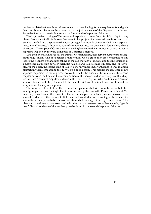can be associated to these three influences, each of them having its own requirements and goals that contribute to challenge the supremacy of the juridical style of the disputes of the School. Textual evidence of these influences can be found in the chapters on fallacies.

The *Logic* makes an eloge of Descartes and explicitly borrows from his philosophy in many places. More specifically, it follows Descartes in his project of a reasoned search for truth that can't be satisfied by a disputative dialectic, only good to provide short already known explanations, while Descartes's discursive scientific model requires the geometers' fertile «long chains of reasons». The impact of Cartesianism on the *Logic* includes the introduction of two inductive sophisms inspired by the very principles of Descartes's method.

Like their friend Blaise Pascal, the authors were jansenists, then fervent supporters of a rigorous augustinism. One of its tenets is that without God's grace, men are condemned to sin. Hence the frequent explanations calling to the bad morality of arguers and the introduction of a surprising distinction between scientific fallacies and fallacies made in daily and/or «civil» life. For the Logic, the second kind of fallacy is morally more important, since science is a futile distraction when compared to the duty to be a good person. This justifies the existence of two separate chapters. This moral precedence could also be the reason of the inflation of the second chapter between the first and the second edition of the book. The discursive style of this chapter, far from dialectical disputes, is closer to the concern of a priest who has to make a sermon adressed to sinners to help them not to become the victims of their self-love and to resist the temptations of heresy or skepticism.

The influence of the taste of the century for a pleasant rhetoric cannot be as easily linked to a figure patronizing the *Logic*, like it was previously the case with Descartes or Pascal. Yet, especially if we look at the content of the second chapter on fallacies, we can recognize the general tendency of the century to link clear and good ideas or reasoning with the use of a «natural» and «easy» verbal expression which was held as a sign of the right use of reason. This pleasant naturalness is also associated with the civil and elegant use of language by "gentle men". Textual evidence of this tendency can be found in the second chapter on fallacies.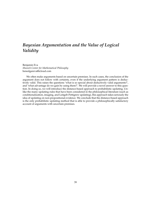### <span id="page-40-0"></span>*Bayesian Argumentation and the Value of Logical Validity*

Benjamin Eva *Munich Center for Mathematical Philosophy* [benedgareva@icloud.com](mailto:benedgareva@icloud.com)

We often make arguments based on uncertain premises. In such cases, the conclusion of the argument does not follow with certainty, even if the underlying argument pattern is deductively valid. This raises the questions 'what is so special about deductively valid arguments?', and 'what advantage do we gain by using them?'. We will provide a novel answer to this question. In doing so, we will introduce the distance-based approach to probabilistic updating. Unlike the many updating rules that have been considered in the philosophical literature (such as conditionalization, imaging, and Leitgeb-Pettigrew updating), this approach takes seriously the idea of updating on non-propositional evidence. We conclude that the distance-based approach is the only probabilistic updating method that is able to provide a philosophically satisfactory account of arguments with uncertain premises.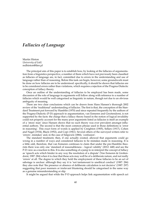### <span id="page-41-0"></span>*Fallacies of Language*

Martin Hinton *University of Łód´z* [mdhinton@tlen.pl](mailto:mdhinton@tlen.pl)

The principal aim of this paper is to establish how, by looking at the fallacies of argumentation from a linguistics perspective, a number of them which have not previously been classified as fallacies of language are, in fact, committed due to errors in the understanding and use of language rather than of reasoning. Before this task can begin, however, some groundwork must be done on how fallacies are to be understood: specifically, it should be shown that fallacies are to be considered errors rather than violations, which requires a rejection of the Pragma-Dialectic conception of fallacy theory.

Once an outline of the understanding of fallacies to be employed has been made, some discussion of the role of language in arguments will follow along with reference to a number of fallacies which would be well categorised as linguistic in nature, though not due to an obvious ambiguity of meaning.

There are two clear conclusions which can be drawn from Hans Hansen's thorough 2002 review of the 'traditional' understanding of fallacies. The first is that, the conception of the Standard Treatment put forward by Hamblin (1970) and since repeated frequently by the authors of the Pragma-Dialectic (P-D) approach to argumentation, van Eemeren and Grootendorst, is not supported by the facts: the charge that a fallacy theory based in the notion of logical invalidity could not properly account for the many poor arguments listed as fallacies is itself an example of a 'straw man' since Hansen shows that no such theory was ever prevalent amongst influential authors. The second is that the most common phrase used in those definitions is 'error in reasoning'. This exact form of words is applied by Creighton (1905), Sellars (1917), Cohen and Nagel (1934), Black (1952), and Copi (1961). Several others of the surveyed writers refer to 'errors', mistakes' and, in the case of Sidgwick (1884), 'confusion'.

The standard treatment, then, if one actually existed, allowed that arguments could go wrong in a number of ways and considered fallacies to be mistakes made in reasoning. It is a little odd, therefore, that van Eemeren continues to claim that under the pre-Hamblin theorists there was only one 'standard of reasonableness – logical validity' (2012: 448) and see the P-D view as a reaction to this. It is also something of a jump to re-interpret the concept of fallacy as 'speech acts which hinder in any way the resolution of a dispute' (Van Eemeren & Grottendorst, 1987: 284) when it is clear that these acts may well be of a deliberate nature, and not really 'errors' at all. The degree to which they hold the employment of these fallacies to be an act of sabotage is unclear: although they say it is 'not tantamount to unethical conduct' (1987: 284) they also note that 'the presence or absence of deliberate calculation is not decisive' (1987: 297) suggesting that poor manners or irrelevant blustering should be categorised in the same way as a genuine misunderstanding or slip.

It might be argued that while the P-D approach helps link argumentation with speech act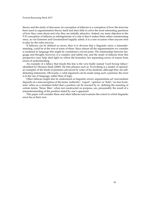theory and the study of discourse, its conception of fallacies is a corruption of how the term has been used in argumentation theory itself and does little to solve the most interesting questions of how they come about and why they are initially attractive. Indeed, my main objection to the P-D conception of fallacies as infringements of a rule is that it makes them rather uninteresting since, as van Eemeren and Grootendorst happily admit, it is a rare occasion when anyone tries to play by the rules anyway.

If fallacies can be defined as errors, then it is obvious that a linguistic error, a misunderstanding, could be at the root of some of them. Since almost all the argumentation we consider is rendered in language this might be considered a trivial point. The relationship between language and thought, however, is a complex and subtle one, and the study of fallacies from this perspective may help shed light on where the boundary lies separating errors of reason from errors of understanding.

An example of a fallacy that treads this line is the very-badly named 'Lord Scroop fallacy' identified by Herman Stark (2000). He lists phrases such as 'Everything is a matter of opinion' as examples of the kinds of premises advanced by some of his students, although they are selfdefeating statements. Obviously, a valid argument can be made using such a premise; the error is in the use of language, rather than of logic.

Other fallacies might also be understood as linguistic errors: argumentum ad verecundiam depends on a misconception of the terms 'authority', 'expert', 'opinion' or 'field'; 'no true Scotsman' relies on a mistaken belief that a position can be rescued by re- defining the meaning of certain terms; 'Straw Men', when not constructed on purpose, are, presumably the result of a misunderstanding of the position stated by one's opponent.

This paper will consider these and other fallacies and examine the extent to which linguistic error lies at their root.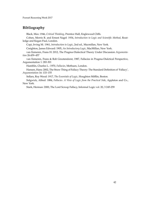#### **Bibliography**

Black, Max: 1946, *Critical Thinking*, Prentice Hall, Englewood Cliffs.

Cohen, Morris R. and Ernest Nagel: 1934, *Introduction to Logic and Scientific Method*, Routledge and Kegan Paul, London.

Copi, Irving M.: 1961, *Introduction to Logic*, 2nd ed., Macmillan, New York.

Creighton, James Edward: 1905, *An Introductory Logic*, MacMillan, New York.

van Eemeren, Frans H: 2012, The Pragma-Dialectical Theory Under Discussion *Argumentation* 26:439–457

van Eemeren, Frans & Rob Grootendorst, 1987, Fallacies in Pragma-Dialctical Perspective, Argumentation 1: 283-301

Hamblin, Charles L.: 1970, *Fallacies*, Methuen, London.

Hansen, Hans: 2002, The Straw Thing of Fallacy Theory: The Standard Definition of 'Fallacy', *Argumentation* 16: 133–155

Sellars, Roy Wood: 1917, *The Essentials of Logic*, Houghton Mifflin, Boston.

Sidgwick, Alfred: 1884, *Fallacies. A View of Logic from the Practical Side*, Appleton and Co., New York.

Stark, Herman: 2000, The Lord Scroop Fallacy, Informal Logic vol. 20, 3 245-259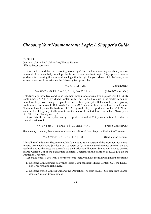### <span id="page-44-0"></span>*Choosing Your Nonmonotonic Logic: A Shopper's Guide*

Ulf Hlobil *Concordia University* / *University of Hradec Kralove* [ulf.hlobil@concordia.ca](mailto:ulf.hlobil@concordia.ca)

You want to model actual reasoning in our logic? Since actual reasoning is virtually always defeasible, this mean that you will probably need a nonmonotonic logic. This paper offers some guidance for choosing the nonmontonic logic that is right for you. Many think that every consequence relation,  $\vdash$ , must obey the following two principles:

$$
\forall A \,\forall \Gamma \, (\Gamma, A \vdash A). \tag{Continment}
$$

$$
\forall A, B \,\forall \Gamma, \Delta \text{ (If } \Gamma \vdash B \text{ and } \Delta, B \vdash A \text{, then } \Gamma, \Delta \vdash A \text{).} \tag{Mixed-Context Cut}
$$

Unfortunately, these two conditions together imply monotonicity. For suppose that  $\Gamma \vdash A$ . By Containment,  $\Delta$ ,  $A \vdash A$ . By Mixed-Context Cut,  $\Gamma$ ,  $\Delta \vdash A$ . So if you are in the market for a nonmonotonic logic, you must give up at least one of these principles. Relevance logicians give up Containment and move to Reflexivity (i.e. *A*  $\sim$  *A*). They want to avoid fallacies of relevance. Nonmonotonic logics in the tradition of KLM, by contrast, give up Mixed-Context Cut [\[2\]](#page-46-0). Advocates of such logics typically want to codify defeasible material inferences, like: "Tweety is a bird. Therefore, Tweety can fly."

If you take the second option and give up Mixed-Context Cut, you can retreat to a sharedcontext version of Cut:

$$
\forall A, B \,\forall \Gamma \text{ (If } \Gamma \sim B \text{ and } \Gamma, B \sim A \text{, then } \Gamma \sim A \text{)}. \tag{Shared-Context Cut}
$$

This means, however, that you cannot have a conditional that obeys the Deduction Theorem:

$$
\forall A, B \,\forall \Gamma \, (\Gamma \mid \sim A \to B \text{ iff } \Gamma, A \mid \sim B).
$$
 (Deduction Theorem)

After all, the Deduction Theorem would allow you to run a version of the argument for monotonicity presented above. Just let ∆ be a superset of Γ, and move the difference between the two sets back and forth across the turnstile via the Deduction Theorem. So you will have to give up Shared-Context Cut or the Deduction Theorem. Logicians in the tradition of KLM give up the Deduction Theorem.

Let's take stock. If you want a nonmonotonic logic, you have the following menu of options.

- 1. Rejecting Containment (relevance logics). You can keep Mixed-Context Cut, the Deduction Theorem, and Reflexivity.
- 2. Rejecting Mixed-Context Cut and the Deduction Theorem (KLM). You can keep Shared-Context Cut and Containment.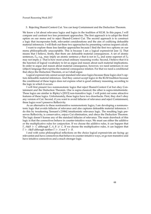#### 3. Rejecting Shared-Context Cut. You can keep Containment and the Deduction Theorem.

We know a lot about relevance logics and logics in the tradition of KLM. In this paper, I will compare and contrast two less prominent appraoches. The first approach is to adopt the third option on our menu and to reject Shared-Context Cut. The second approach is to construct a logic that incorporates both, relevantist considerations and the aim of codifying defeasible material inferences. I will flesh out these two approaches by presenting various sequent calculi.

I want to explore these less familiar approaches because I find the first two options on our menu philosophically unacceptable. This is because I am a logical expressivist [see [1\]](#page-46-1). That means that I believe, firstly, that there are defeasible material consequences. A set of atomic sentences,  $\Gamma_0$ , e.g., may imply an atomic sentence *p* that is not in  $\Gamma_0$ , and some superset of  $\Gamma_0$ may not imply *p*. That is how most actual ordinary reasoning works. Second, I believe that it is the function of logical vocabulary to let us argue and reason about such material implications. In order to argue and reason about material consequence, however, we need sentences in our (object) language that express the material consequence relation. For that we need a conditional that obeys the Deduction Theorem, or so I shall argue.

Logical expressivists cannot accept standard relevance logics because these logics don't capture defeasible material inferences. And they cannot accept logics in the KLM tradition because the conditional of these logics does not express what is good ordinary reasoning, according to the logic in which it occurs.

I will first present two nonmonotonic logics that reject Shared-Context Cut but obey Containment and the Deduction Theorem. One is supra-classical; the other is supra-intuitionistic. These logics are similar to Ripley's [\[2013\]](#page-46-2) non-transitive logic. I will point out some attractive features of these logics. Unfortunately, these logics have two drawbacks. First, they don't obey any version of Cut. Second, if you want to avoid fallacies of relevance and reject Containment, these logics won't preserve Reflexivity.

As an alternative to these nontransitive nonmonotonic logics, I am developing a nonmonotonic logic that avoids fallacies of relevance and also captures defeasible material inferences. I do this by tweakening Tennant's [\[1984\]](#page-46-3) intuitionistic relevance logic. The resulting logic preserves Reflexivity, is conservative, enjoys Cut elimination, and obeys the Deduction Theorem. The logic doesn't license any of the standard fallacies of relevance. The main drawback of this logic is that the connectives behave in counter-intuitive ways. We must use either the additive or the multiplicative rules for conjunction. If we choose the additive rules, it can happen that Γ, *A*&*B* |∼ *C* although Γ, *A*, *B* |6∼ *C*. If we choose the multiplicative rules, it can happen that Γ |∼ *A*&*B* although neither Γ |∼ *A* nor Γ |∼ *B*.

I end with some philosophical reflections on the choice logical expressivists are facing: go relevantist and have connectives that behave in counter-intuitive ways, or go non-transitive and have intuitive connectives and a much stronger logic.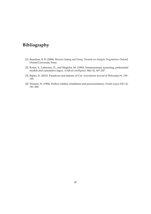### **Bibliography**

- <span id="page-46-1"></span>[1] Brandom, R. B. (2008). *Between Saying and Doing: Towards an Analytic Pragmatism*. Oxford: Oxford University Press.
- <span id="page-46-0"></span>[2] Kraus, S., Lehmann, D., and Magidor, M. (1990). Nonmonotonic reasoning, preferential models and cumulative logics. *Artificial intelligence*, 44(1-2), 167–207.
- <span id="page-46-2"></span>[3] Ripley, D. (2013). Paradoxes and failures of Cut. *Australasian Journal of Philosophy* 91, 139– 164.
- <span id="page-46-3"></span>[4] Tennant, N. (1984). Perfect validity, entailment and paraconsistency. *Studia Logica* 43(1-2): 181–200.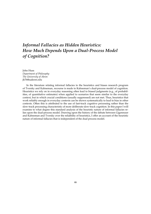### <span id="page-47-0"></span>*Informal Fallacies as Hidden Heuristics: How Much Depends Upon a Dual-Process Model of Cognition?*

John Huss *Department of Philosophy The University of Akron* [jh76@uakron.edu](mailto:jh76@uakron.edu)

In the literature relating informal fallacies to the heuristics and biases research program of Tversky and Kahneman, recourse is made to Kahneman's dual-process model of cognition. Heuristics we rely on in everyday reasoning often lead to biased judgments (e.g., of probabilities, of quantitative estimates) when applied to scenarios that seem similar to the everyday context, but in which crucial conditions (usually suppressed) are not met. Thus, heuristics that work reliably enough in everyday contexts can be shown systematically to lead to bias in other contexts. Often this is attributed to the use of fast-track cognitive processing rather than the slow-track processing characteristic of more deliberate slow-track cognition. In this paper I will examine to what degree this standard analysis of the heuristic nature of informal fallacies relies upon the dual-process model. Drawing upon the history of the debate between Gigerenzer and Kahneman and Tversky over the reliability of heuristics, I offer an account of the heuristic nature of informal fallacies that is independent of the dual process model.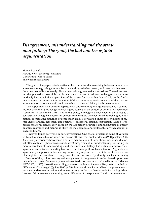### <span id="page-48-0"></span>*Disagreement, misunderstanding and the straw man fallacy: The good, the bad and the ugly in argumentation*

Marcin Lewiński *ArgLab, Nova Institute of Philosophy Universidade Nova de Lisboa* [m.lewinski@fcsh.unl.pt](mailto:m.lewinski@fcsh.unl.pt)

The goal of the paper is to investigate the criteria for distinguishing between rational disagreements (the good), genuine misunderstandings (the bad: error), and manipulative uses of the straw man fallacy (the ugly: illicit strategy) in argumentative discussions. These three seem in principle easily discernible, but in many actual cases of ordinary exchanges, it may be remarkably hard to tell them apart. Part of the reason for that is that they all rely on the fundamental issues of linguistic interpretation. Without attempting to clarify some of these issues, argumentation theorists would not know when a dialectical fallacy has been committed.

The paper takes as a point of departure an understanding of argumentation as a communicative activity of producing and exchanging reasons in the context of doubt or disagreement (Lewiński & Mohammed, 2016). It is, in this sense, a dialogical achievement of all parties to a conversation. A regular, successful, smooth conversation, whether aimed at exchanging information, coordinating activities, or some other goals, is conducted under the conditions of mutual understanding, agreement and openness – in general, rational cooperation. Grice's (1989) model of rational conversation based on the Cooperative Principle and the maxims of quality, quantity, relevance and manner is likely the most famous and philosophically rich account of such conditions.

However, things go wrong in our conversations. One crucial problem is being at variance with each other, a situation when one person affirms what another denies (Wittgenstein, 2005, 30e). Being at variance, however, is a surface manifestation of three above-mentioned distinct, yet often confused, phenomena: (substantive) disagreement, misunderstanding (including the more severe lack of understanding), and the straw man fallacy. The distinction between disagreement and misunderstanding has drawn particular philosophical attention. Arguably, disagreement presupposes understanding: we can only respond  $\neg p$  to our interlocutor's  $p - a$  case of straightforward substantive disagreement – once we correctly identify what she means by *p*. Because of this, it has been argued, many cases of disagreement can be cleared up as mere misunderstandings: "whenever you meet a contradiction you must make a distinction" (James, 1987/1905, p. 505); "assertions startlingly false on the face of them are likely to turn on hidden differences of language" (Quine, 1960, p. 59). But how do we know? Given the phenomena of semantic under-determination and indeterminacy, no fast and hard criteria for distinguishing between "disagreements stemming from difference of interpretation" and "disagreements of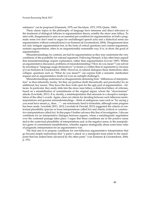substance" can be proposed (Dummett, 1975; see Davidson, 1973, 1974; Quine, 1960).

These classic topics in the philosophy of language have immense and direct relevance to the treatment of dialogical fallacies in argumentation theory, notably the straw man fallacy. To start with, disagreement is seen as an essential pre-condition for argumentation: in both a pragmatic sense (we don't need to argue for unchallenged speech acts) and a dialectical sense (no argumentation without contradiction) (van Eemeren & Grootendorst, 2004). Disagreement does not only instigate argumentation but, in the form of critical questions and counter-arguments, sustains argumentation, often in an unquestionably reasonable way. It is, in short, the good of argumentation.

Misunderstandings, by contrast, are bad for argumentation as they may undermine the very conditions of the possibility for rational argument. Following Hempel, it has often been argued that misunderstandings require explanation, rather than argumentation (Govier 1987). Within an argumentative discussion, problems of misunderstanding ("How do you mean?") are solved by resorting to "language usage declaratives" (*p* means *p*1) rather than to arguments (*p*, because *q*) (van Eemeren & Grootendorst, 2004). However, in natural dialogues these distinctions often collapse: questions such as "What do you mean?!" can express both a semantic clarification request and an argumentative doubt (or even an outright challenge!).

Misunderstandings understood as disagreements stemming from "differences of interpretation" as thus inherently murky. Yet they are perilous (both theoretically and practically) for an additional, key reason. They leave the door wide open for the ugly part of argumentation – fallacies. In particular, they easily slide into the straw man fallacy, a dialectical fallacy of criticism, based on a misattribution of commitments of the original arguer, whom the "strawmanner" attacks (Lewiński, 2011). It is, shortly, a misinterpretation that amounts to a deceptive manipulation of the other's words. Again, clear-cut criteria for deciding between such fallacious misinterpretations and genuine misunderstandings – think of ambiguous cases such as "by saying *p* you must have meant  $p_1$ , then.  $\ldots$  " – are notoriously hard to formulate, although some progress has been made. Lewiński (2011, 2012; Lewiński & Oswald, 2013) suggested the criteria of contextual plausibility (precise or loose interpretations called for) and charity (critical or constructive interpretations called for). In this paper I further advance this line of investigation. I discuss conditions for an interpretative dialogue between arguers, where a metalinguistic negotiation over the contested passage takes place. I argue that these conditions are in the positive sense tied to the contextual plausibility of interpretations and, in the negative sense, to the manipulative game of commitment misattribution, whereby arguers strategically abuse some basic rules of pragmatic interpretation for an argumentative win.

The final aim is to propose conditions for non-fallacious argumentative interpretation that go beyond simple instructions that "a party's attack on a standpoint must relate to the standpoint that has indeed been advanced by the other party" (van Eemeren & Grootendorst, 2004, p. 191).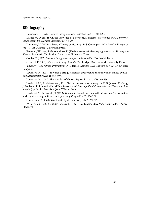#### **Bibliography**

Davidson, D. (1973). Radical interpretation. *Dialectica*, 27(3-4), 313-328.

Davidson, D. (1974). On the very idea of a conceptual scheme. *Proceedings and Addresses of the American Philosophical Association*, 47, 5-20.

Dummett, M. (1975). What is a Theory of Meaning? In S. Guttenplan (ed.), *Mind and Language* (pp. 97–138). Oxford: Clarendon Press.

Eemeren, F.H. van, & Grootendorst, R. (2004). *A systematic theory of argumentation: The pragmadialectical approach*. Cambridge: Cambridge University Press.

Govier, T. (1987). *Problems in argument analysis and evaluation*. Dordrecht: Foris.

Grice, H. P. (1989). *Studies in the way of words*. Cambridge, MA: Harvard University Press.

James, W. (1987/1905). *Pragmatism*. In W. James, *Writings* 1902-1910 (pp. 479-624). New York: Penguin.

Lewiński, M. (2011). Towards a critique-friendly approach to the straw man fallacy evaluation. *Argumentation*, 25(4), 469–497.

Lewiński, M. (2012). The paradox of charity. *Informal Logic*, 32(4), 403-439.

Lewiński, M., & Mohammed, D. (2016). Argumentation theory. In K. B. Jensen, R. Craig, J. Pooley & E. Rothenbuhler (Eds.), *International Encyclopedia of Communication Theory and Philosophy* (pp. 1-15). New York: John Wiley & Sons.

Lewiński, M., & Oswald, S. (2013). When and how do we deal with straw men? A normative and cognitive pragmatic account. *Journal of Pragmatics*, 59, 164-177.

Quine, W.V.O. (1960). Word and object. Cambridge, MA: MIT Press.

Wittgenstein, L. 2005 *The Big Typescript: TS 213*, C.G. Luckhardt & M.A.E. Aue (eds.). Oxford: Blackwell.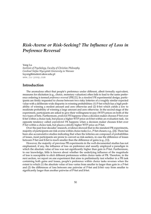### <span id="page-51-0"></span>*Risk-Averse or Risk-Seeking? The Influence of Loss in Preference Reversal*

Yong Lu

*Institute of Psychology, Faculty of Christian Philosophy Cardinal Stefan Wyszy ´nski University in Warsaw* [luyong@student.uksw.edu.pl](mailto:luyong@student.uksw.edu.pl) <www.lu-yong.com>

#### **Introduction**

The anomalous effect that people's preference under different, albeit formally equivalent, measures for elicitation (e.g., choice, monetary valuation) often fails to lead to the same preference ordering is termed *preference reversal* (PR) [\[1\]](#page-54-0). In a *standard PR* experimental design, participants are firstly requested to choose between two risky lotteries of a roughly similar expected value with a deliberate wide disparity in winning probabilities: (1) P-bet which has a high probability of winning a modest amount and zero otherwise and (2) \$-bet which yields a low to moderate probability of winning a large amount and zero otherwise. In the second stage of the experiment, participants are asked to give their willingness-to-pay (WTP) prices on both of the two types of bets. Furthermore, *predicted PR* happens when a decision maker chooses P-bet over \$-bet within a choice task, but places a higher WTP price on \$-bet within an evaluation task. An opposite tendency called *unpredicted PR* happens when a decision maker chooses \$-bet over P-bet within a choice task, but places a strictly higher WTP price on P-bet.

Over the past four decades' research, evidence showed that in the standard PR experiments, majority of participants are risk-averse within choice tasks (i.e., P-bet chosen; e.g., [\[2\]](#page-54-1)). There has been also accumulative studies indicating that when the lotteries are composed of probabilities of losses, most participants are prone to convert as risk-seekers, in case the difference of losses between P-bet and \$-bet is much smaller than the difference of gains (e.g., [\[1\]](#page-54-0)).

However, the majority of previous PR experiments in the well-documented studies has not emphasized, if any, the influence of loss on preference and usually employed a paradigm in which the absolute value of loss was not significantly higher than gain in P-bet. Furthermore, to our knowledge, little is known about whether the underlying influence of the magnitude of loss is susceptible to elicit different preferences within choice tasks of PR. Therefore, in the next section, we report on one experiment that aims to preliminarily test whether in a PR task containing both gains and losses, people's preference within choice tasks reverses when the extent to which (1) the absolute value of loss varies from smaller to larger than gain in a P-bet and (2) the differences of loss between one pairwise of P-bet and \$-bet vary from smaller to significantly larger than another pairwise of P-bet and \$-bet.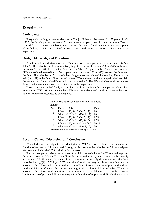#### **Experiment**

#### **Participants**

Forty eight undergraduate students from Tianjin University between 18 to 22 years old (*M* = 20.5; the female percentage was 41.2%) volunteered to participant in the experiment. Participants did not receive financial compensation since the task took only a few minutes to complete. Nevertheless, participants received an extra course credit in exchange for participating in the experiment.

#### **Design, Materials, and Procedure**

A within-subjects design was used. Materials were three pairwise two-outcome bets (see Table [2\)](#page-52-0). The pairwise bet 1 has a relatively big difference of the losses (-10 vs. -200) as those of the gains (110 vs. 920) between the P-bet and the \$-bet. The pairwise bet 2 has a much smaller difference of the losses (-10 vs. -15) compared with the gains (120 vs. 395) between the P-bet and the \$-bet. The pairwise bet 3 has a relatively larger absolute value of the loss (i.e., 210) than the gain (i.e., 137) in the P-bet. The expected values (EVs) in the respective three pairwise bets yield the same except for a slight difference in the pairwise bet 3. The EVs and whether those bets are P-bet or \$-bet were not shown to participants in the experiment.

Participants were asked firstly to complete the choice tasks on the three pairwise bets, then to give their WTP prices for the six bets. We also counterbalanced the three pairwise bets' sequences that were presented to participants.

| 'alues"                                            |       |
|----------------------------------------------------|-------|
| <b>Pairwise Bets</b>                               | EVs   |
| $\overline{P\text{-}bet} = (110, 9/12; -10, 3/12)$ | 80    |
| $\$$ -bet = (920, 3/12; -200, 9/12)                | 80    |
| $P-bet = (120, 9/12; -10, 3/12)$                   | 87.5  |
| $\$$ -bet = (395, 3/12; -15, 9/12)                 | 87.5  |
| $P-bet = (137, 9/12; -210, 3/12)$                  | 50.25 |
| $\$$ -bet = (800, 3/12; -200, 9/12)                | 50    |
|                                                    |       |

<span id="page-52-0"></span>Table 2: The Pairwise Bets and Their Expected Val

*<sup>a</sup>* Probabilities were expressed as multiples of 1/12.

#### **Results, General Discussion, and Conclusion**

We excluded one participant who did not give her WTP price on the \$-bet in the pairwise bet 2 and another one participant who did not give his choice in the pairwise bet 3 from analyses. We use an alpha level of  $.05$  for all significance tests.

For the three pairwise bets, percentages of participants in choice and WTP evaluation procedures are shown in Table [3.](#page-53-0) The overall results indicate that, first, overestimating \$-bet mainly accounts for PR. However, the reversal rates were not significantly different among the three pairwise bets  $(\chi^2(4) = 5.328, p = 0.255)$  and therefore do not vary much in strength when the absolute value of loss is less or more than gain in P-bet. Second, the rates of predicted and unpredicted PR are influenced by the relative magnitudes of loss in P-bet and \$-bet. When the absolute value of loss in \$-bet is significantly more than that in P-bet (e.g., 20:1 in the pairwise bet 1), the rate of predicted PR is more explicitly than that of unpredicted PR. On the contrary,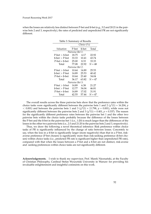when the losses are relatively less distinct between P-bet and \$-bet (e.g., 3:2 and 20:21 in the pairwise bets 2 and 3, respectively), the rates of predicted and unpredicted PR are not significantly different.

<span id="page-53-0"></span>

| Table 3: Summary of Results |                 |        |          |  |  |
|-----------------------------|-----------------|--------|----------|--|--|
| Choice $(\%)$               |                 |        |          |  |  |
| Valuation                   | P-bet           | \$-bet | Total    |  |  |
|                             | Pairwise Bet 1: |        |          |  |  |
| $P$ -bet $>$ \$-bet         | 18.75           | 4.17   | 22.92    |  |  |
| $\$$ -bet $>$ P-bet         | 33.33           | 10.41  | 43.74    |  |  |
| $P$ -bet = \$-bet           | 25.00           | 8.33   | 33.33    |  |  |
| Total                       | 77.08           | 22.92  | $N = 48$ |  |  |
|                             | Pairwise Bet 2: |        |          |  |  |
| $P$ -bet $>$ \$-bet         | 10.64           | 14.89  | 25.53    |  |  |
| $\$$ -bet $>$ P-bet         | 14.89           | 25.53  | 40.42    |  |  |
| $P$ -bet = \$-bet           | 10.64           | 23.40  | 34.04    |  |  |
| Total                       | 36.17           | 63.82  | $N = 47$ |  |  |
| Pairwise Bet 3:             |                 |        |          |  |  |
| $P$ -bet $> 1$ -bet         | 14.89           | 6.38   | 21.27    |  |  |
| \$-bet > P-bet              | 12.77           | 34.04  | 46.81    |  |  |
| P-bet = \$-bet              | 14.89           | 17.02  | 31.91    |  |  |
| Total                       | 42.55           | 57.44  | $N = 47$ |  |  |

The overall results across the three pairwise bets show that the preference rates within the choice tasks were significantly different between the pairwise bets 1 and 2 ( $\chi^2(1)$  = 16.204, *p*  $<$  0.001) and between the pairwise bets 1 and 3 ( $\chi^2(1)$  = 11.798,  $p$  = 0.001), while were not significantly different between the pairwise bets 2 and 3 ( $\chi^2(1)$  = 0.401,  $p$  = 0.337). The reason for the significantly different preference rates between the pairwise bet 1 and the other two pairwise bets within the choice tasks probably because the difference of the losses between the P-bet and the \$-bet in the pairwise bet 1 (i.e., 1:20) is much larger than the differences of the losses in the other two pairwise bets (i.e., 2:3 and 21:20 in the pairwise bets 2 and 3, respectively).

Thus, we draw the following a novel theoretical inference: Risk preference within choice tasks of PR is significantly influenced by the change of ratio between losses. Concretely to say, when the loss in a \$-bet is significantly larger (more negatively) than that in a P-bet, riskaverse preference (P-bet chosen) is significantly more than risk-seeking preference (\$-bet chosen) within choice tasks (i.e., predicted PR rate is significant higher than unpredicted PR rate), compared with that when the losses between a P-bet and a \$-bet are not distinct, risk-averse and -seeking preferences within choice tasks are not significantly different.

**Acknowledgements.** I wish to thank my supervisor, Prof. Marek Nieznański, at the Faculty of Christian Philosophy, Cardinal Stefan Wyszyński University in Warsaw for providing his invaluable enlightenment and insightful comments on this work.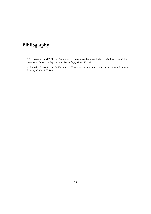### **Bibliography**

- <span id="page-54-0"></span>[1] S. Lichtenstein and P. Slovic. Reversals of preferences between bids and choices in gambling decisions. *Journal of Experimental Psychology*, 89:46–55, 1971.
- <span id="page-54-1"></span>[2] A. Tversky, P. Slovic, and D. Kahneman. The cause of preference reversal. *American Economic Review*, 80:204–217, 1990.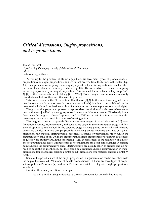### <span id="page-55-0"></span>*Critical discussions, Ought-propositions, and Is-propositions*

Tomáš Ondráček *Department of Philosophy, Faculty of Arts, Masaryk University BRAK* [ondracek.t@gmail.com](mailto:ondracek.t@gmail.com)

According to the problem of Hume's gap there are two main types of propositions, ispropositions and ought-propositions, and we cannot proceed from the former to the latter [\[4,](#page-57-0) p. 302]. In argumentation, arguing for an ought-proposition by an is-proposition is usually called the naturalistic fallacy or the is-ought fallacy [\[1,](#page-57-1) p. 145]. The same is true vice versa, i.e. arguing for an is-proposition by an ought-proposition. This is called the moralistic fallacy [\[6,](#page-57-2) p. 162– 3]; [\[2\]](#page-57-3) or the reverse naturalistic fallacy [\[7,](#page-57-4) p. 257–8]. Even though these moves are generally regarded as fallacious, they are often used in practice.

Take for an example the Pfizer Animal Health case [\[8\]](#page-57-5)[\[3\]](#page-57-6). In this case it was argued that a practice (using antibiotics as growth promoters for animals) is going to be prohibited on the premise that it should not be done without knowing its outcome (the precautionary principle).

The goal of this paper is to present an appropriate description of such cases where an isproposition was justified by an ought-proposition in an unfallacious manner. The description is done using the pragma dialectical approach and the PVF-model. Within this approach, it is also necessary to examine a possible structure of starting points.

The pragma dialectical approach distinguishes four stages of critical discussion [\[10\]](#page-57-7): confrontation, opening, argumentation, and concluding stage. In the confrontation stage, a difference of opinion is established. In the opening stage, starting points are established. Starting points are divided into two groups: procedural starting points, covering the rules of a given discussion, and material starting points, accepted statements or propositions upon which the argumentation can be built up. In the argumentation stage, arguments for or against a statement in question are put forward. In the concluding stage, an assessment of the resolution of a difference of opinion takes place. It is necessary to note that there can occur some changes in starting points during the argumentative stage. Starting points are usually taken as granted and do not need to be explicitly mentioned, but they could be questioned during argumentation in metadiscussions (for procedural starting points) or sub-discussions (for material starting points) [\[9,](#page-57-8) p. 242].

Some of the possible uses of the ought-proposition in argumentation can be described with the help of the so called PVF-model of debate propositions [\[11\]](#page-57-9). There are three types of propositions: policies (P), values (V), and facts (F). It seems feasible to categorize ought-propositions as values.

Consider the already mentioned example:

We will prohibit using antibiotics as growth promoters for animals, because we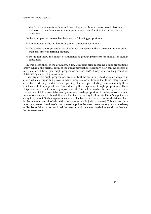should not use agents with an unknown impact on human consumers in farming industry and we do not know the impact of such use of antibiotics on the human consumer.

- In this example, we can see that there are the following propositions:
- P: Prohibition of using antibiotics as growth promoters for animals.
- V: The precautionary principle: We should not use agents with an unknown impact on human consumers in farming industry.
- F: We do not know the impact of antibiotics as growth promoters for animals on human consumers.

In this description of the argument, a few questions arise regarding ought-propositions. Firstly, what is the original form of the ought-proposition? Secondly, how can the process of interpretation of the original ought-proposition be described? Thirdly, what are the possibilities of dismissing an ought-proposition?

I will argue that ought-propositions are usually at the beginning of a discussion accepted in a form which is vague and provides many interpretations. I believe that these interpretations are restricted during the discussion regarding other accepted starting points especially those which consist of is-propositions. This is done by the obligations of ought-propositions. These obligations are in the form of is-propositions [\[5\]](#page-57-10). This makes possible the description of a discussion in which it is acceptable to argue from an ought-proposition to an is-proposition in an unfallacious manner. Although it seems that there is no way to eliminate Hume's gap, there is a way to bypass it. Such a bypass is made possible by the need of a definitive decision at least for the moment (a result of critical discussion especially in judicial context). This also leads to a more delicate structuration of material starting points, because it seems wrongful and too hasty to dismiss as fallacious or irrational the cases in which we need to decide, yet do not have all the necessary facts.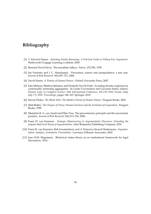### **Bibliography**

- <span id="page-57-1"></span>[1] T. Edward Damer. *Attacking Faulty Reasoning: A Practical Guide to Fallacy-Free Arguments*. Wadsworth Cengage Learning, 6 edition, 2009.
- <span id="page-57-3"></span>[2] Bernard David Davis. The moralistic fallacy. *Nature*, 272:390, 1978.
- <span id="page-57-6"></span>[3] Ian Forrester and J. C. Hanekamp1. Precaution, science and jurisprudence: a test case. *Journal of Risk Research*, 9(4):297–311, 2006.
- <span id="page-57-0"></span>[4] David Hume. *A Treatise of Human Nature*. Oxford University Press, 2007.
- <span id="page-57-10"></span>[5] Joke Meheus, Mathieu Beirlaen, and Frederik Van De Putte. Avoiding deontic explosion by contextually restricting aggregation. In Guido Governatori and Giovanni Sartor, editors, *Deontic Logic in Computer Science: 10th International Conference, DE-ON 2010, Fiesole, Italy, July 7-9, 2010. Proceedings*, pages 148–165. Springer, 2010.
- <span id="page-57-2"></span>[6] Steven Pinker. *The Blank Slate: The Modern Denial of Human Nature*. Penguin Books, 2002.
- <span id="page-57-4"></span>[7] Matt Ridley. *The Origins of Virtue: Human Instincts and the Evolution of Cooperation*. Penguin Books, 1998.
- <span id="page-57-5"></span>[8] Marjolein B. A. van Asselt and Ellen Voss. The precautionary principle and the uncertainty paradox. *Journal of Risk Research*, 9(4):313–336, 2006.
- <span id="page-57-8"></span>[9] Frans H. van Eemeren. *Strategic Maneuvering in Argumentative Discourse: Extending the pragma-dialectical theory of argumentation*. John Benjamins Publishing Company, 2010.
- <span id="page-57-7"></span>[10] Frans H. van Eemeren, Rob Grootendorst, and A. Francisca Snoeck Henkemans. *Argumentation: Analysis, Evaluation, Presentation*. Lawrence Erlbaum Associates, 2002.
- <span id="page-57-9"></span>[11] Jean H.M. Wagemans. Rhetorical status theory as an institutional framework for legal discussions. 2016.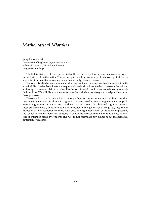### <span id="page-58-0"></span>*Mathematical Mistakes*

Jerzy Pogonowski *Department of Logic and Cognitive Science Adam Mickiewicz University in Pozna ´n* [pogon@amu.edu.pl](mailto:pogon@amu.edu.pl)

The talk is divided into two parts. First of them concerns a few famous mistakes discovered in the history of mathematics. The second part is a brief summary of mistakes typical for the students of humanities who attend a mathematically oriented course.

Famous mistakes became famous mostly because they contained roots of subsequent mathematical discoveries. New ideas are frequently born in situations in which one struggles with an antinomy or tries to explain a paradox. Resolution of paradoxes, in turn, reveals new, more subtle intuitions. We will discuss a few examples from algebra, topology and analysis illustrating these processes.

The second part of the talk is based, among others, on our experiences in teaching introduction to mathematics for freshmen in cognitive science as well as in teaching mathematical problem solving for more advanced such students. We will discuss the observed cognitive biases of these students which, in our opinion, are connected with e.g.: misuse of language, illegitimate reduction of abstract notions to more basic ones, too rigid application of intuitions imposed by the school to new mathematical contexts. It should be stressed that we limit ourselves to analysis of mistakes made by students and we do not formulate any claims about mathematical education of children.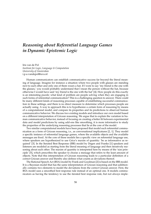### <span id="page-59-0"></span>*Reasoning about Referential Language Games in Dynamic Epistemic Logic*

Iris van de Pol *Institute for Logic, Language & Computation University of Amsterdam* [i.p.a.vandepol@uva.nl](mailto:i.p.a.vandepol@uva.nl)

Human communicators can establish communicative success far beyond the literal meaning of language. Imagine for instance a situation where two people with glasses are standing next to each other and only one of them wears a hat. If I were to say 'my friend is the one with the glasses,' you would probably understand that I mean the person without the hat, because otherwise I would have said 'my friend is the one with the hat' [\[4\]](#page-61-0). How people do this exactly is an interesting puzzle: what kind of problem are people solving when they are engaging in such forms of referential communication? This is a challenging question to answer. There could be many different kinds of reasoning processes capable of establishing successful communication in these settings, and there is no direct measure to determine which processes people are actually using. A way to approach this is to hypothesize a certain form of reasoning by means of a computational model, and compare its properties and its predictions to observed human communicative behavior. We discuss two existing models and introduce our own model based on a different interpretation of Gricean reasoning. We argue that to explain the variation in human communicative behavior, instead of focusing on creating a better fit between experimental data and model predictions by using add-ons like smoothing, it is more informative to study the properties of the underlying reasoning processes that lie at the core of the model.

Two similar computational models have been proposed that model such referential communication as a form of Gricean reasoning, i.e., as conversational implicatures [\[2,](#page-61-1) [1\]](#page-61-2). They model a specific instance of referential language games, where the available objects and the available messages are fixed. At the core of these models lies a specific view on referential language use, where speakers are hypothesized to use Grice's maxim of quantity: 'be as informative as required' [\[3\]](#page-61-3). In the Iterated Best Response (IBR) model by Degen and Franke [\[1\]](#page-61-2) speakers and listeners are modeled as starting from the literal meaning of language and then iteratively reasoning about each other. The maxim of quantity is interpreted here by means of the 'size principle' [\[5\]](#page-61-4), which prescribes the speaker to choose a message that refers to the least amount of objects. Note that this interpretation of Gricean reasoning leads to a particular definition of a correct Gricean answer and thereby also defines what counts as deviations thereof.

The Rational Speech Act (RSA) model by Frank and Goodman [\[2\]](#page-61-1) is based on the IBR model. It is a Bayesian model that has the same interpretation of Gricean reasoning and that additionally contains two elements to model the deviations from the correct Gricean answer. First, the RSA model uses a smoothed best response rule instead of an optimal one. It models communicators as having the tendency to use the iterated best response rule, but not always imple-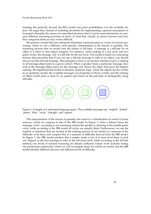menting this perfectly. Second, the RSA model uses prior probabilities over the available objects. We argue that, instead of modeling deviations by implementing a general assumption of bounded rationality (by means of a smoothed decision rule), it can be more informative to combounded rationality (by means or a sinoothed decision rule), it can be more miorinalive to com-<br>pare different reasoning processes in terms of what they classify as correct answers and how put different reasoning processes in terms of what any elassify as correct answers and now they categorize items as easy versus difficult.

We present a model that also interprets referential communication as a form of Gricean reasoning, where we use a different, more specific, interpretation of the maxim of quantity. The reasoning process that we model uses the notion of tell-tales. A message is a tell-tale for an objective to an object if it refers to that object uniquely. For instance, when looking at a red circle and two object in it felers to that object uniquely. For instance, when looking at a fed clicle and two green circles, the message 'red' is a tell-tale for the red circle. Our model is based on a reasoning process that prescribes that if you can use a tell-tale message to refer to an object, you should always use this tell-tale message. This principle is used, in an iterative manner, to give a ranking to all message-object pairs in a given context. When a speaker hears a particular message, they look at the message-object pairs for this message and choose the object that gives the highest logic model, where the worlds in an epistemic model, where the worlds in an epistemic model, where the worlds in an epistemic m ranking. We implement this model in dynamic epistemic logic, where the objects are the worlds ranking. We implement this model in dynamic epistemic logic, where the objects are the worlds in an epistemic model, the available messages are properties of those worlds, and the ranking of object-world pairs is done by an update rule based on the principle of strategically using tell-tales. tell-tales.



Figure 1: Example of a referential language game. The available messages are: Figure 1: Example of a referential language game. The available messages are: 'striped', 'dotted',<br>'green', 'blue', 'circle', 'triangle', and 'square ' 'green', 'blue', 'circle', 'triangle', and 'square.'

2 This interpretation of the maxim of quantity also leads to a classification of correct Gricean answers, which we compare to that of the IBR model. In Figure [1,](#page-32-2) when a listener hears the message 'circle', according to our reasoning schema the speaker is referring to the middle green circle, while according to the IBR model all circles are equally likely. Furthermore, we use the number of iterations that are needed in the ranking process of our model as a measure of the difficulty of an item, and compare this to a measure of difficulty derived from the IBR model. In Figure [1,](#page-32-2) the IBR model predicts that a sender needs to be of at least level three to pick out 'striped' as the best message to refer to the left-most circle, while according to the tell-tale method, two levels of iterated reasoning are already sufficient. Future work includes testing our predictions empirically, where we will investigate items for which our model and the IBR model identify different answers and different levels of difficulty.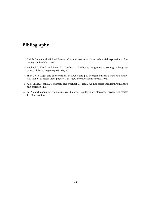### **Bibliography**

- <span id="page-61-2"></span>[1] Judith Degen and Michael Franke. Optimal reasoning about referential expressions. *Proceedings of SemDIAL*, 2012.
- <span id="page-61-1"></span>[2] Michael C. Frank and Noah D. Goodman. Predicting pragmatic reasoning in language games. *Science*, 336(6084):998–998, 2012.
- <span id="page-61-3"></span>[3] H. P. Grice. Logic and conversation. In P. Cole and J. L. Morgan, editors, *Syntax and Semantics: Volume 3: Speech Acts*, pages 41–58. New York: Academic Press, 1975.
- <span id="page-61-0"></span>[4] Alex Stiller, Noah D. Goodman, and Michael C. Frank. Ad-hoc scalar implicature in adults and children. 2011.
- <span id="page-61-4"></span>[5] Fei Xu and Joshua B. Tenenbaum. Word learning as Bayesian inference. *Psychological review*, 114(2):245, 2007.